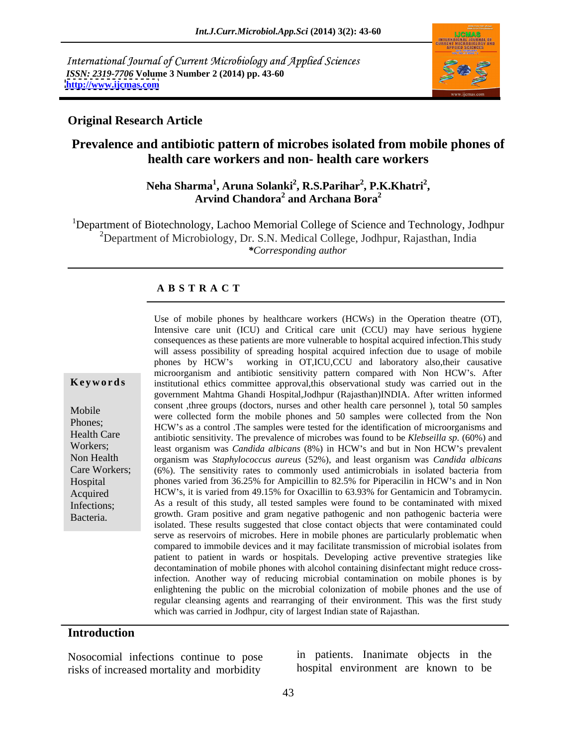International Journal of Current Microbiology and Applied Sciences *ISSN: 2319-7706* **Volume 3 Number 2 (2014) pp. 43-60 <http://www.ijcmas.com>**



### **Original Research Article**

# **Prevalence and antibiotic pattern of microbes isolated from mobile phones of health care workers and non- health care workers**

### **Neha Sharma<sup>1</sup>, Aruna Solanki<sup>2</sup>, R.S.Parihar<sup>2</sup>, P.K.Khatri<sup>2</sup>,<br>Arvind Chandora<sup>2</sup> and Archana Bora<sup>2</sup> , P.K.Khatri2 and Archana Bora<sup>2</sup>**

<sup>1</sup>Department of Biotechnology, Lachoo Memorial College of Science and Technology, Jodhpur <sup>2</sup>Department of Microbiology, Dr. S.N. Medical College, Jodhpur, Rajasthan, India *\*Corresponding author* 

### **A B S T R A C T**

**Keywords** institutional ethics committee approval, this observational study was carried out in the Mobile Consent the groups (doctors, hurses and other heath care personner), total 50 samples<br>Were collected form the mobile phones and 50 samples were collected from the Non Phones;<br>HCW's as a control .The samples were tested for the identification of microorganisms and Health Care antibiotic sensitivity. The prevalence of microbes was found to be *Klebseilla sp.* (60%) and Workers; least organism was *Candida albicans* (8%) in HCW's and but in Non HCW's prevalent Non Health organism was *Staphylococcus aureus* (52%), and least organism was *Candida albicans* Care Workers; (6%). The sensitivity rates to commonly used antimicrobials in isolated bacteria from Hospital phones varied from 36.25% for Ampicillin to 82.5% for Piperacilin in HCW s and in Non Acquired HCW s, it is varied from 49.15% for Oxacillin to 63.93% for Gentamicin and Tobramycin. Infections; As a result of this study, all tested samples were found to be contaminated with mixed Bacteria. **Exercise** growth. Gram positive and gram negative pathogenic and non pathogenic bacteria were Use of mobile phones by healthcare workers (HCWs) in the Operation theatre (OT), Intensive care unit (ICU) and Critical care unit (CCU) may have serious hygiene consequences as these patients are more vulnerable to hospital acquired infection.This study will assess possibility of spreading hospital acquired infection due to usage of mobile phones by HCW s working in OT,ICU,CCU and laboratory also,their causative microorganism and antibiotic sensitivity pattern compared with Non HCW s. After government Mahtma Ghandi Hospital,Jodhpur (Rajasthan)INDIA. After written informed consent ,three groups (doctors, nurses and other health care personnel ), total 50 samples isolated. These results suggested that close contact objects that were contaminated could serve as reservoirs of microbes. Here in mobile phones are particularly problematic when compared to immobile devices and it may facilitate transmission of microbial isolates from patient to patient in wards or hospitals. Developing active preventive strategies like decontamination of mobile phones with alcohol containing disinfectant might reduce crossinfection. Another way of reducing microbial contamination on mobile phones is by enlightening the public on the microbial colonization of mobile phones and the use of regular cleansing agents and rearranging of their environment. This was the first study which was carried in Jodhpur, city of largest Indian state of Rajasthan.

### **Introduction**

Nosocomial infections continue to pose risks of increased mortality and morbidity

in patients. Inanimate objects in the hospital environment are known to be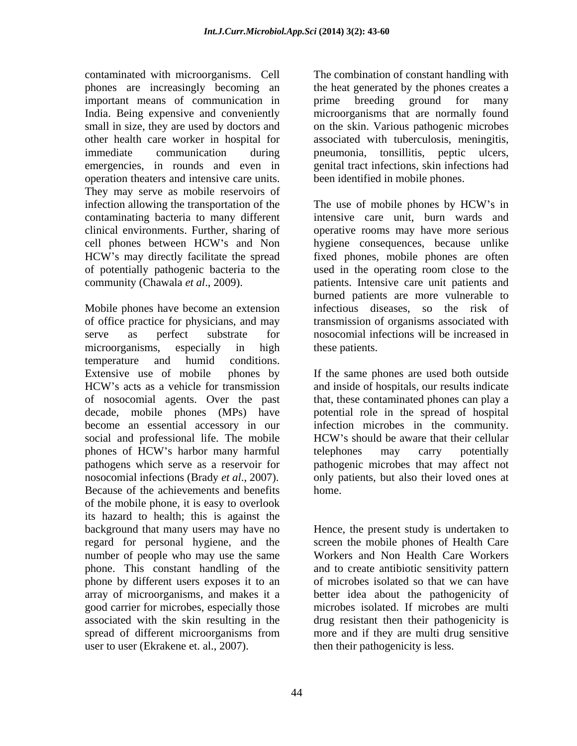contaminated with microorganisms. Cell The combination of constant handling with phones are increasingly becoming an important means of communication in the prime breeding ground for many India. Being expensive and conveniently microorganisms that are normally found small in size, they are used by doctors and on the skin. Various pathogenic microbes other health care worker in hospital for associated with tuberculosis, meningitis, immediate communication during pneumonia, tonsillitis, peptic ulcers, emergencies, in rounds and even in genital tract infections, skin infections had operation theaters and intensive care units. They may serve as mobile reservoirs of infection allowing the transportation of the The use of mobile phones by HCW's in contaminating bacteria to many different clinical environments. Further, sharing of operative rooms may have more serious cell phones between HCW's and Non bygiene consequences, because unlike HCW's may directly facilitate the spread fixed phones, mobile phones are often of potentially pathogenic bacteria to the used in the operating room close to the community (Chawala *et al*., 2009). patients. Intensive care unit patients and

Mobile phones have become an extension infectious diseases, so the risk of of office practice for physicians, and may transmission of organisms associated with serve as perfect substrate for nosocomial infections will be increased in microorganisms, especially in high these patients. temperature and humid conditions. Extensive use of mobile phones by If the same phones are used both outside HCW's acts as a vehicle for transmission and inside of hospitals, our results indicate of nosocomial agents. Over the past that, these contaminated phones can play a decade, mobile phones (MPs) have potential role in the spread of hospital become an essential accessory in our infection microbes in the community. social and professional life. The mobile **EVA** HCW's should be aware that their cellular phones of HCW's harbor many harmful telephones may carry potentially pathogens which serve as a reservoir for pathogenic microbes that may affect not nosocomial infections (Brady *et al*., 2007). only patients, but also their loved ones at Because of the achievements and benefits of the mobile phone, it is easy to overlook its hazard to health; this is against the background that many users may have no Hence, the present study is undertaken to regard for personal hygiene, and the number of people who may use the same Workers and Non Health Care Workers phone. This constant handling of the and to create antibiotic sensitivity pattern phone by different users exposes it to an array of microorganisms, and makes it a better idea about the pathogenicity of good carrier for microbes, especially those microbes isolated. If microbes are multi associated with the skin resulting in the drug resistant then their pathogenicity is spread of different microorganisms from more and if they are multi drug sensitive user to user (Ekrakene et. al., 2007).

the heat generated by the phones creates a prime breeding ground for many been identified in mobile phones.

The use of mobile phones by HCW's in intensive care unit, burn wards and hygiene consequences, because unlike fixed phones, mobile phones are often burned patients are more vulnerable to these patients.

and inside of hospitals, our results indicate HCW's should be aware that their cellular telephones may carry potentially home.

screen the mobile phones of Health Care of microbes isolated so that we can have more and if they are multi drug sensitive then their pathogenicity is less.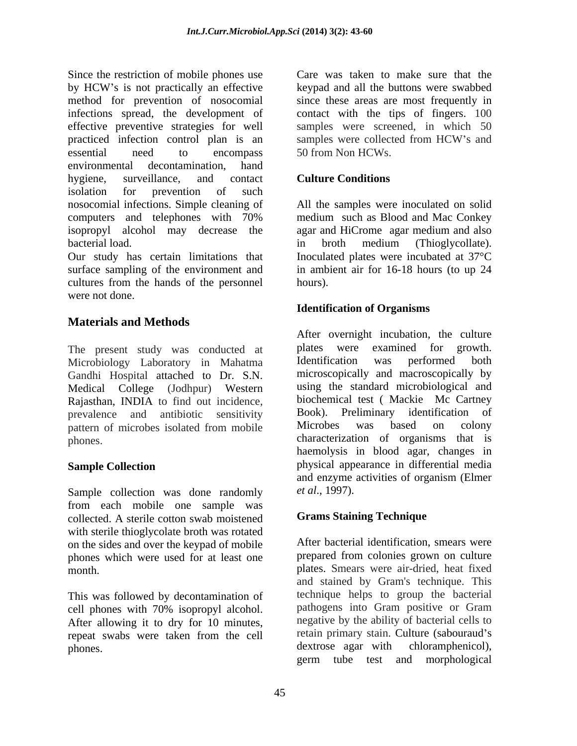Since the restriction of mobile phones use Care was taken to make sure that the by HCW's is not practically an effective level and all the buttons were swabbed method for prevention of nosocomial since these areas are most frequently in infections spread, the development of contact with the tips of fingers. 100 effective preventive strategies for well samples were screened, in which 50 practiced infection control plan is an samples were collected from HCW's and essential need to encompass 50 from Non HCWs. environmental decontamination, hand hygiene, surveillance, and contact **Culture Conditions** isolation for prevention of such nosocomial infections. Simple cleaning of All the samples were inoculated on solid computers and telephones with 70% isopropyl alcohol may decrease the agar and HiCrome agar medium and also bacterial load.  $\qquad \qquad$  in broth medium (Thioglycollate).

Our study has certain limitations that Inoculated plates were incubated at 37°C surface sampling of the environment and in ambient air for 16-18 hours (to up 24 cultures from the hands of the personnel hours). were not done.

# **Materials and Methods**

Microbiology Laboratory in Mahatma Gandhi Hospital attached to Dr. S.N. Medical College (Jodhpur) Western Rajasthan, INDIA to find out incidence, biochemical test (Mackie McCartney<br>
nevelope and antibiotic sensitivity Book). Preliminary identification of prevalence and antibiotic sensitivity Book). Preliminary identification of pattern of microbes isolated from mobile Microbes was based on colony pattern of microbes isolated from mobile Microbes was based on colony

Sample collection was done randomly *et al.*, 1997). from each mobile one sample was collected. A sterile cotton swab moistened with sterile thioglycolate broth was rotated on the sides and over the keypad of mobile phones which were used for at least one

This was followed by decontamination of the technique helps to group the bacterial<br>cell phones with 70% isopropyl alcohol pathogens into Gram positive or Gram cell phones with 70% isopropyl alcohol. After allowing it to dry for 10 minutes, repeat swabs were taken from the cell retain primary stain. Culture (sabouraud's phones dextrose agar with chloramphenicol), phones. The dextrose agar with

keypad and all the buttons were swabbed samples were collected from HCW's and 50 from Non HCWs.

## **Culture Conditions**

medium such as Blood and Mac Conkey agar and HiCrome agar medium and also in broth medium (Thioglycollate). hours).

### **Identification of Organisms**

The present study was conducted at plates were examined for growth.<br>Microbiology Laboratory in Mahatma Identification was performed both phones. characterization of organisms that is **Sample Collection physical appearance in differential media** After overnight incubation, the culture plates were examined for growth. Identification was performed both microscopically and macroscopically by using the standard microbiological and biochemical test ( Mackie Mc Cartney Book). Preliminary identification Microbes was based on colony haemolysis in blood agar, changes in and enzyme activities of organism (Elmer *et al*., 1997).

### **Grams Staining Technique**

month. plates. Smears were air-dried, heat fixed After bacterial identification, smears were prepared from colonies grown on culture and stained by Gram's technique. This technique helps to group the bacterial pathogens into Gram positive or Gram negative by the ability of bacterial cells to retain primary stain. Culture (sabouraud's dextrose agar with chloramphenicol), germ tube test and morphological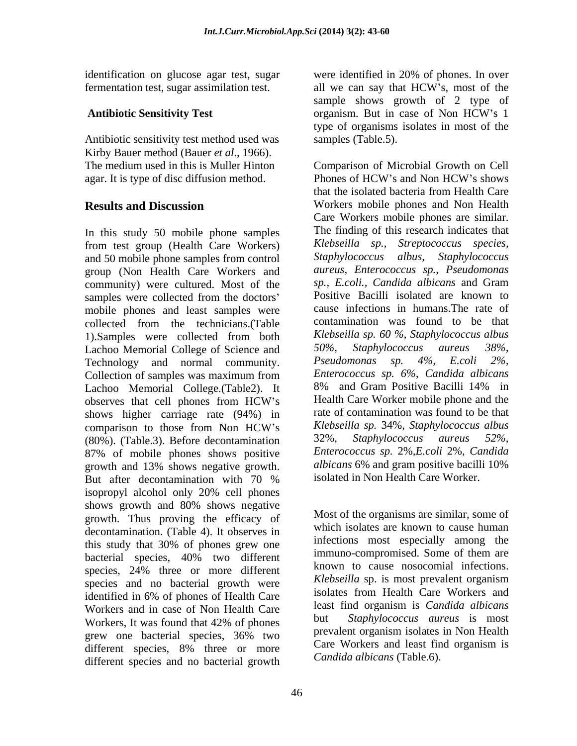fermentation test, sugar assimilation test. all we can say that HCW's, most of the

Antibiotic sensitivity test method used was samples (Table.5). Kirby Bauer method (Bauer *et al*., 1966). agar. It is type of disc diffusion method. Phones of HCW's and Non HCW's shows

In this study 50 mobile phone samples from test group (Health Care Workers) *Klebseilla sp., Streptococcus species,*<br>and 50 mobile phone samples from control *Staphylococcus albus, Staphylococcus* and 50 mobile phone samples from control group (Non Health Care Workers and community) were cultured. Most of the samples were collected from the doctors' Positive Bacilli isolated are known to mobile phones and least samples were collected from the technicians.(Table 1).Samples were collected from both  $\mu$  *Klebseilla sp.* 60 %, *Staphylococcus albus* Lachoo Memorial College of Science and  $\mu$  50%, *Staphylococcus aureus* 38%, Lachoo Memorial College of Science and 50%, Staphy<br>Technology and normal community *Pseudomonas* Technology and normal community. Collection of samples was maximum from Enterococcus sp. 6%, Candida albicans Lachoo Memorial College.(Table2). It 8% and Gram Positive Bacilli 14% in observes that cell phones from HCW's Health Care Worker mobile phone and the shows higher carriage rate (94%) in comparison to those from Non HCW's Klebseilla sp. 34%, Staphylococcus albus (80%). (Table.3). Before decontamination 32%, Staphylococcus aureus 52%, 87% of mobile phones shows positive *Enterococcus sp.* 2%, *E.coli* 2%, *Candida* prowth and 13% shows negative prowth *albicans* 6% and gram positive bacilli 10% growth and 13% shows negative growth. But after decontamination with 70 % isolated in Non-Health Care Worker. isopropyl alcohol only 20% cell phones shows growth and 80% shows negative growth. Thus proving the efficacy of decontamination. (Table 4). It observes in bacterial species, 40% two different immuno-compromised. Some of them are species, 24% three or more different<br>species and no bectorial grouth were *Klebseilla* sp. is most prevalent organism species and no bacterial growth were **Klebsella** sp. is most prevalent organism<br>isolates from Health Care Workers and Workers and in case of Non Health Care  $\frac{1}{2}$ <br>Workers It was found that 42% of ghange different species and no bacterial growth

46

identification on glucose agar test, sugar were identified in 20% of phones. In over Antibiotic Sensitivity Test organism. But in case of Non HCW's 1 were identified in 20% of phones. In over all we can say that HCW s, most of the sample shows growth of 2 type of organism. But in case of Non HCW's 1 type of organisms isolates in most of the samples (Table.5).

The medium used in this is Muller Hinton Comparison of Microbial Growth on Cell **Results and Discussion** Workers mobile phones and Non Health Phones of HCW's and Non HCW's shows that the isolated bacteria from Health Care Care Workers mobile phones are similar. The finding of this research indicates that *Klebseilla sp.*, *Streptococcus species, Staphylococcus albus, Staphylococcus aureus, Enterococcus sp., Pseudomonas sp., E.coli., Candida albicans* and Gram Positive Bacilli isolated are known to cause infections in humans.The rate of contamination was found to be that *Klebseilla sp. 60 %*, *Staphylococcus albus*  $Staphylococcus$  *aureus Pseudomonas sp. 4%, E.coli 2%, Enterococcus sp. 6%*, *Candida albicans* 8% and Gram Positive Bacilli 14% in Health Care Worker mobile phone and the rate of contamination was found to be that *Klebseilla sp.* 34%, *Staphylococcus albus* 32%*, Staphylococcus aureus 52%, Enterococcus sp.* 2%*,E.coli* 2%*, Candida albicans* 6% and gram positive bacilli 10% isolated in Non Health Care Worker.

this study that 30% of phones grew one the underlying the sepectrum among the identified in 6% of phones of Health Care isolates from Health Care workers and Workers, It was found that 42% of phones but *Maphylococcus aureus* is most grew one bacterial species, 36% two prevalent organism isolates in Non-Health different species,  $8\%$  three or more Care WORKETS and least lind organism is Most of the organisms are similar, some of which isolates are known to cause human infections most especially among the immuno-compromised. Some of them are known to cause nosocomial infections. *Klebseilla* sp. is most prevalent organism isolates from Health Care Workers and least find organism is *Candida albicans* Staphylococcus aureus is most prevalent organism isolates in Non Health Care Workers and least find organism is *Candida albicans* (Table.6).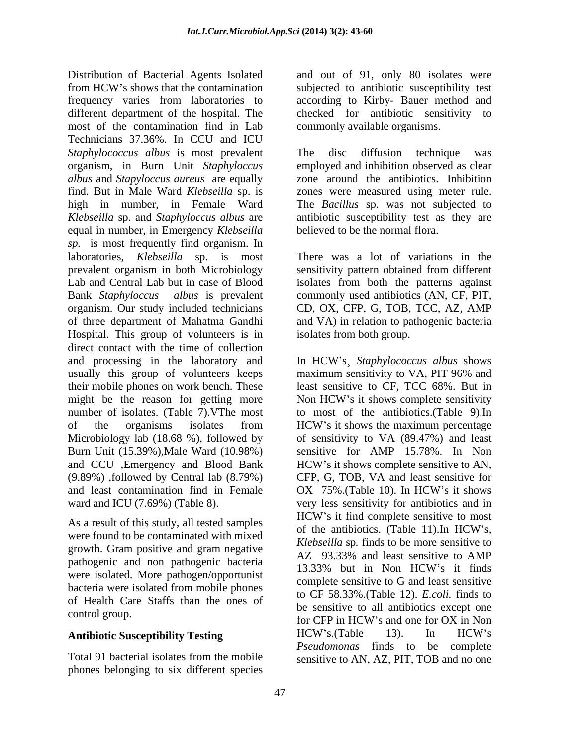Distribution of Bacterial Agents Isolated and out of 91, only 80 isolates were from HCW's shows that the contamination subjected to antibiotic susceptibility test frequency varies from laboratories to according to Kirby- Bauer method and different department of the hospital. The checked for antibiotic sensitivity to most of the contamination find in Lab Technicians 37.36%. In CCU and ICU *Staphylococcus albus* is most prevalent organism, in Burn Unit *Staphyloccus*  employed and inhibition observed as clear *albus* and *Stapyloccus aureus* are equally find. But in Male Ward *Klebseilla* sp. is zones were measured using meter rule. high in number, in Female Ward The *Bacillus* sp. was not subjected to *Klebseilla* sp. and *Staphyloccus albus* are antibiotic susceptibility testasthey are equal in number, in Emergency *Klebseilla sp.* is most frequently find organism. In laboratories, *Klebseilla* sp. is most prevalent organism in both Microbiology sensitivity pattern obtained from different Lab and Central Lab but in case of Blood isolates from both the patterns against Bank *Staphyloccus albus* is prevalent commonly used antibiotics (AN, CF, PIT, organism. Our study included technicians CD, OX, CFP, G, TOB, TCC, AZ, AMP of three department of Mahatma Gandhi and VA) in relation to pathogenic bacteria Hospital. This group of volunteers is in direct contact with the time of collection and processing in the laboratory and In HCW's Staphylococcus albus shows usually this group of volunteers keeps maximum sensitivity to VA, PIT 96% and their mobile phones on work bench. These might be the reason for getting more Non HCW's it shows complete sensitivity number of isolates. (Table 7).VThe most of the organisms isolates from HCW's it shows the maximum percentage Microbiology lab (18.68 %), followed by of sensitivity to VA (89.47%) and least Burn Unit (15.39%),Male Ward (10.98%) sensitive for AMP 15.78%. In Non and CCU , Emergency and Blood Bank HCW's it shows complete sensitive to AN, (9.89%) ,followed by Central lab (8.79%) CFP, G, TOB, VA and least sensitive for and least contamination find in Female OX 75%. (Table 10). In HCW's it shows

As a result of this study, an tested samples<br>of the antibiotics. (Table 11). In HCW's,<br>were found to be contaminated with mixed<br> $\frac{1}{2}$ growth. Gram positive and gram negative<br>AZ 93.33% and least sensitive to AMP pathogenic and non pathogenic bacteria<br>13.33% but in Non HCW's it finds were isolated. More pathogen/opportunist bacteria were isolated from mobile phones of Health Care Staffs than the ones of

Total 91 bacterial isolates from the mobile sensitive to AN, AZ, PIT, TOB and no one phones belonging to six different species

subjected to antibiotic susceptibility test commonly available organisms.

The disc diffusion technique was zone around the antibiotics. Inhibition believed to be the normal flora.

There was a lot of variations in the isolates from both group.

ward and ICU (7.69%) (Table 8). <br>As a result of this study, all tested samples<br>As a result of this study, all tested samples<br>of the entitiation (Table 11) In HCW's control group.<br>
For CFP in HCW's and one for OX in Non Antibiotic Susceptibility Testing **HCW's.** (Table 13). In HCW's In HCW s¸ *Staphylococcus albus* shows maximum sensitivity to VA, PIT 96% and least sensitive to CF, TCC 68%. But in Non HCW's it shows complete sensitivity to most of the antibiotics.(Table 9).In HCW's it shows the maximum percentage HCW's it shows complete sensitive to AN, OX 75%.(Table 10). In HCW's it shows very less sensitivity for antibiotics and in HCW's it find complete sensitive to most of the antibiotics. (Table 11).In HCW's, *Klebseilla* sp*.* finds to be more sensitive to AZ 93.33% and least sensitive to AMP 13.33% but in Non HCW s it finds complete sensitive to G and least sensitive to CF 58.33%.(Table 12). *E.coli.* finds to be sensitive to all antibiotics except one for CFP in HCW's and one for OX in Non HCW s.(Table 13). In HCW s *Pseudomonas* finds to be complete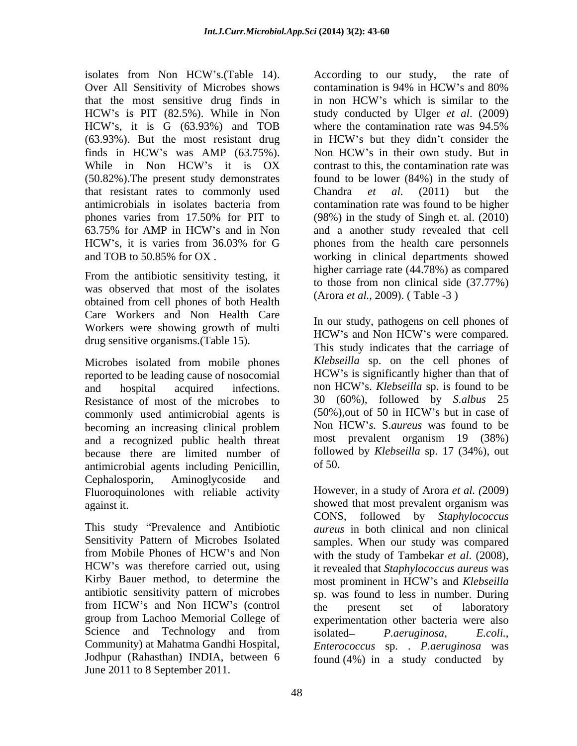isolates from Non HCW's.(Table 14). According to our study, the rate of Over All Sensitivity of Microbes shows contamination is 94% in HCW's and 80% that the most sensitive drug finds in in non HCW's which is similar to the (63.93%). But the most resistant drug in HCW's but they didn't consider the finds in HCW's was AMP (63.75%). Non HCW's in their own study. But in that resistant rates to commonly used Chandra et al. (2011) but the

From the antibiotic sensitivity testing, it was observed that most of the isolates obtained from cell phones of both Health Care Workers and Non Health Care Workers were showing growth of multi HCW's and Non HCW's were compared. drug sensitive organisms.(Table 15).

Microbes isolated from mobile phones Klebseilla sp. on the cell phones of reported to be leading cause of nosocomial HCW's is significantly higher than that of reported to be leading cause of nosocomial and hospital acquired infections. non HCW's. Klebseilla sp. is found to be Resistance of most of the microbes to  $30(60\%)$ , followed by *S.albus* 25<br>commonly used antimicrobial agents is  $(50\%)$  out of 50 in HCW's but in case of commonly used antimicrobial agents is (50%), out of 50 in HCW's but in case of<br>becoming an increasing clinical problem Non HCW's. S. *aureus* was found to be becoming an increasing clinical problem and a recognized public health threat because there are limited number of follow<br>antimicrobial agents including Penicillin of 50. antimicrobial agents including Penicillin, Cephalosporin, Aminoglycoside and Fluoroquinolones with reliable activity

Sensitivity Pattern of Microbes Isolated Kirby Bauer method, to determine the most prominent in HCW's and Klebseilla Science and Technology and from isolated- *P. aeruginosa*, *E. coli.*, Jodhpur (Rahasthan) INDIA, between 6 June 2011 to 8 September 2011.

HCW's is PIT (82.5%). While in Non study conducted by Ulger et al. (2009) HCW's, it is G (63.93%) and TOB where the contamination rate was 94.5% finds in HCW's was AMP (63.75%). Non HCW's in their own study. But in While in Non HCW's it is OX contrast to this, the contamination rate was (50.82%).The present study demonstrates found to be lower (84%) in the study of antimicrobials in isolates bacteria from phones varies from 17.50% for PIT to (98%) in the study of Singh et. al. (2010) 63.75% for AMP in HCW's and in Non and a another study revealed that cell HCW's, it is varies from 36.03% for G phones from the health care personnels and TOB to 50.85% for OX . working in clinical departments showed According to our study, the rate of contamination is 94% in HCW's and 80% in non HCW s which is similar to the study conducted by Ulger *et al*. (2009) where the contamination rate was 94.5% in HCW's but they didn't consider the Non HCW's in their own study. But in contrast to this, the contamination rate was Chandra *et al*. (2011) but the contamination rate was found to be higher and a another study revealed that cell phones from the health care personnels higher carriage rate (44.78%) as compared to those from non clinical side (37.77%) (Arora *et al.,* 2009). ( Table -3 )

> In our study, pathogens on cell phones of HCW's and Non HCW's were compared. This study indicates that the carriage of *Klebseilla* sp. on the cell phones of HCW's is significantly higher than that of non HCW s. *Klebseilla* sp. is found to be 30 (60%), followed by *S.albus* 25  $(50\%)$ , out of 50 in HCW's but in case of Non HCW *s.* S.*aureus* was found to be most prevalent organism 19 (38%) followed by *Klebseilla* sp. 17 (34%), out of 50.

against it. showed that most prevalent organism was This study Prevalence and Antibiotic *aureus* in both clinical and non clinical from Mobile Phones of HCW's and Non with the study of Tambekar *et al.* (2008). HCW's was therefore carried out, using it revealed that Staphylococcus aureus was antibiotic sensitivity pattern of microbes sp. was found to less in number. During from HCW's and Non HCW's (control the present set of laboratory group from Lachoo Memorial College of experimentation other bacteria were also Community) at Mahatma Gandhi Hospital, *Enterococcus* sp. . *P.aeruginosa* was However, in a study of Arora *et al. (*2009) CONS, followed by *Staphylococcus*  samples. When our study was compared with the study of Tambekar *et al*. (2008), it revealed that *Staphylococcus aureus* was most prominent in HCW's and *Klebseilla* the present set of laboratory isolated *P.aeruginosa, E.coli.,* found (4%) in a study conducted by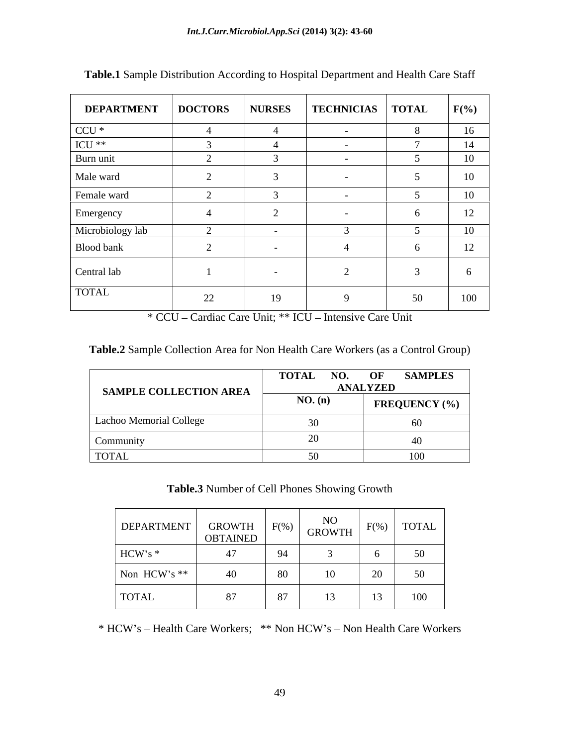| <b>DEPARTMENT</b>  | <b>DOCTORS</b>           | <b>NURSES</b> | <b>TECHNICIAS</b> | <b>TOTAL</b> | $F(\% )$ |
|--------------------|--------------------------|---------------|-------------------|--------------|----------|
| $CCU *$            | -4                       |               | $\sim 100$        |              | 16       |
| $\rm{ICU}$ $^{**}$ |                          |               | $\sim$ $-$        |              | 14       |
| Burn unit          |                          |               | $\sim$ $-$        |              | 10       |
| Male ward          |                          |               | $\sim$ $\sim$     |              | 10       |
| Female ward        |                          |               | $\sim$ $-$        |              | 10       |
| Emergency          | - 4                      |               |                   |              | 12       |
| Microbiology lab   | $\sim$                   |               |                   |              | 10       |
| Blood bank         | $\sim$<br>$\overline{ }$ |               |                   |              | 12       |
| Central lab        |                          | $\sim$        |                   |              |          |
| <b>TOTAL</b>       | 22                       | 19            |                   | 50           | 100      |

**Table.1** Sample Distribution According to Hospital Department and Health Care Staff

\* CCU - Cardiac Care Unit; \*\* ICU - Intensive Care Unit

| SAMPLE COLLECTION AREA  | <b>TOTAL</b> | <b>SAMPLES</b><br>NO. OF<br><b>ANALYZED</b> |
|-------------------------|--------------|---------------------------------------------|
|                         | NO. (n)      | <b>FREQUENCY</b> (%)                        |
| Lachoo Memorial College |              | υυ                                          |
| Commun                  |              |                                             |
| <b>TOTAL</b>            |              |                                             |

**Table.3** Number of Cell Phones Showing Growth

| <b>DEPARTMENT</b> | <b>GROWTH</b><br><b>OBTAINED</b> | $F(0_6)$ | <b>NO</b><br>$\sqrt{GROWTH}$ | $\Gamma$ (0/) | <b>TOTAL</b>              |
|-------------------|----------------------------------|----------|------------------------------|---------------|---------------------------|
| HCW's *           |                                  | - 94     |                              |               | 50 <sup>1</sup><br>$\sim$ |
| Non HCW's **      |                                  | - Or     |                              |               | 50 <sup>2</sup>           |
| <b>TOTAL</b>      |                                  |          |                              |               | 100<br>100                |

\* HCW's - Health Care Workers; \*\* Non HCW's - Non Health Care Workers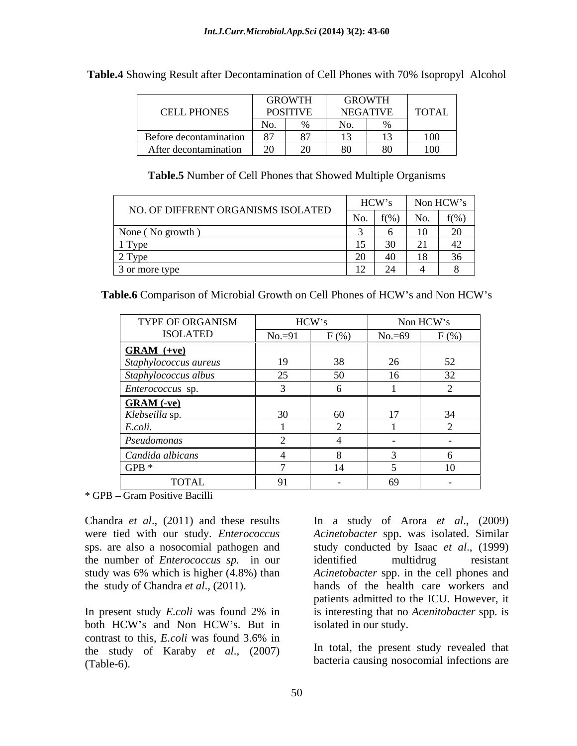|                        | <b>GROWTH</b> |                 | CDONITII<br><b>UNUWIN</b> |      |              |
|------------------------|---------------|-----------------|---------------------------|------|--------------|
| CELL PHONES            |               | <b>POSITIVE</b> | NEGATIVE                  |      | <b>TOTAL</b> |
|                        |               |                 | NL.                       |      |              |
| Before decontamination |               |                 |                           |      | $100 -$      |
| After decontamination  | $\sim$        | $\Delta$        |                           | $ -$ | 100<br>100   |

**Table.4** Showing Result after Decontamination of Cell Phones with 70% Isopropyl Alcohol

**Table.5** Number of Cell Phones that Showed Multiple Organisms

|                                    | HCW's<br>110.11 |     | Non HCW' |
|------------------------------------|-----------------|-----|----------|
| NO. OF DIFFRENT ORGANISMS ISOLATED |                 | No. | f(0/2)   |
| None ( $\text{No}$ g <sub>1</sub>  |                 |     |          |
|                                    |                 |     |          |
|                                    |                 |     |          |
| $\beta$ or more ty <sub>p</sub>    | $ -$            |     |          |

Table.6 Comparison of Microbial Growth on Cell Phones of HCW's and Non HCW's

| TYPE OF ORGANISM                           | HCW's         |                | Non HCW's |                |
|--------------------------------------------|---------------|----------------|-----------|----------------|
| <b>ISOLATED</b>                            | $No.=91$      | $F($ %)        | $No = 69$ | $F(\%)$        |
| $GRAM (+ve)$                               |               |                |           |                |
| Staphylococcus aureus                      |               |                |           |                |
| Staphylococcus albus                       | $\sim$ $\sim$ | 50             | $\sim$    | $J\mathcal{L}$ |
| <i>Enterococcus</i> sp.                    |               |                |           |                |
|                                            |               |                |           |                |
| <b>GRAM</b> (-ve)<br><i>Klebseilla</i> sp. |               | -60            |           |                |
| coli                                       |               |                |           |                |
| Pseudomonas                                |               |                |           |                |
| Candida albicans                           |               |                |           |                |
| GPB $*$                                    |               | $\blacksquare$ |           |                |
| <b>TOTAL</b>                               |               |                | 'n        |                |

\* GPB – Gram Positive Bacilli

Chandra *et al.*, (2011) and these results In a study of Arora *et al.*, (2009) sps. are also a nosocomial pathogen and the number of *Enterococcus sp.* in our

both HCW's and Non HCW's. But in isolated in our study. contrast to this, *E.coli* was found 3.6% in the study of Karaby *et al*., (2007)

were tied with our study. *Enterococcus Acinetobacter* spp. was isolated. Similar study was 6% which is higher (4.8%) than *Acinetobacter* spp. in the cell phones and the study of Chandra *et al.*, (2011). hands of the health care workers and In present study *E.coli* was found 2% in is interesting that no *Acenitobacter* spp. is Chandra *et al.*, (2011) and these results<br>
Were tied with our study. *Enterococcus Acinetobacter* spp. was isolated. Similar<br>
sps. are also a nosocomial pathogen and<br>
study conducted by Isaac *et al.*, (1999)<br>
the numb study conducted by Isaac *et al*., (1999) identified multidrug resistant patients admitted to the ICU. However, it is interesting that no *Acenitobacter* spp*.* is isolated in our study.

In total, the present study revealed that bacteria causing nosocomial infections are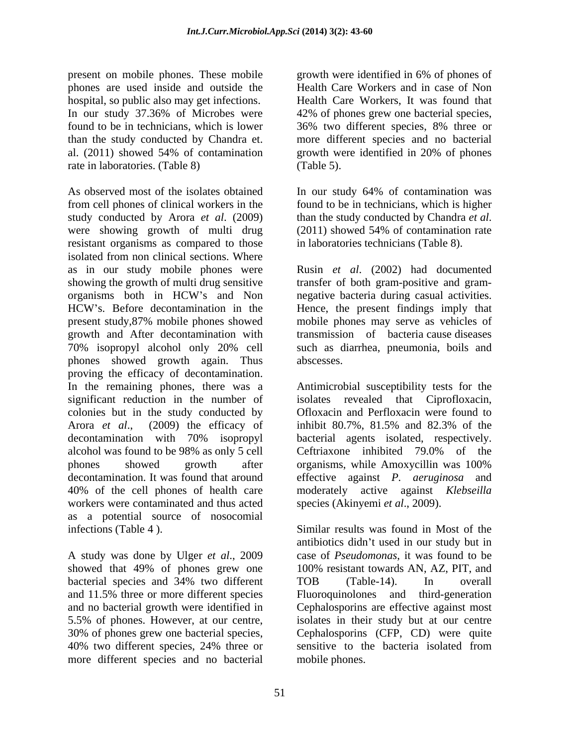present on mobile phones. These mobile growth were identified in 6% of phones of phones are used inside and outside the hospital, so public also may get infections. In our study 37.36% of Microbes were 42% of phones grew one bacterial species, found to be in technicians, which is lower 36% two different species, 8% three or than the study conducted by Chandra et. more different species and no bacterial al. (2011) showed 54% of contamination rate in laboratories. (Table 8) (Table 5).

As observed most of the isolates obtained In our study 64% of contamination was from cell phones of clinical workers in the found to be in technicians, which is higher study conducted by Arora *et al.* (2009) than the study conducted by Chandra *et al.* were showing growth of multi drug (2011) showed 54% of contamination rate resistant organisms as compared to those isolated from non clinical sections. Where as in our study mobile phones were Rusin *et al*. (2002) had documented showing the growth of multi drug sensitive transfer of both gram-positive and gram organisms both in HCW's and Non a negative bacteria during casual activities. HCW's. Before decontamination in the Hence, the present findings imply that present study,87% mobile phones showed mobile phones may serve as vehicles of growth and After decontamination with 70% isopropyl alcohol only 20% cell phones showed growth again. Thus proving the efficacy of decontamination. In the remaining phones, there was a Antimicrobial susceptibility tests for the significant reduction in the number of isolates revealed that Ciprofloxacin, colonies but in the study conducted by Arora *et al.*, (2009) the efficacy of inhibit 80.7%, 81.5% and 82.3% of the decontamination with 70% isopropyl bacterial agents isolated, respectively. alcohol was found to be 98% as only 5 cell phones showed growth after organisms, while Amoxycillin was 100% decontamination. It was found that around effective against *P. aeruginosa* and 40% of the cell phones of health care moderately active against *Klebseilla*  workers were contaminated and thus acted as a potential source of nosocomial infections (Table 4 ). Similar results was found in Most of the

A study was done by Ulger *et al*., 2009 more different species and no bacterial

growth were identified in 6% of phones of Health Care Workers and in case of Non Health Care Workers, It was found that 42% of phones grew one bacterial species, 36% two different species, 8% three or growth were identified in 20% of phones (Table 5).

than the study conducted by Chandra *et al*. (2011) showed 54% of contamination rate in laboratories technicians (Table 8).

negative bacteria during casual activities. Hence, the present findings imply that transmission of bacteria cause diseases such as diarrhea, pneumonia, boils and abscesses.

Ofloxacin and Perfloxacin were found to inhibit 80.7%, 81.5% and 82.3% of the Ceftriaxone inhibited 79.0% of the organisms, while Amoxycillin was 100% species (Akinyemi *et al*., 2009).

showed that 49% of phones grew one 100% resistant towards AN, AZ, PIT, and bacterial species and 34% two different TOB (Table-14). In overall and 11.5% three or more different species Fluoroquinolones and third-generation and no bacterial growth were identified in Cephalosporins are effective against most 5.5% of phones. However, at our centre, isolates in their study but at our centre 30% of phones grew one bacterial species, Cephalosporins (CFP, CD) were quite 40% two different species, 24% three or antibiotics didn't used in our study but in case of *Pseudomonas*, it was found to be TOB (Table-14). In overall Cephalosporins (CFP, CD) were quite sensitive to the bacteria isolated from mobile phones.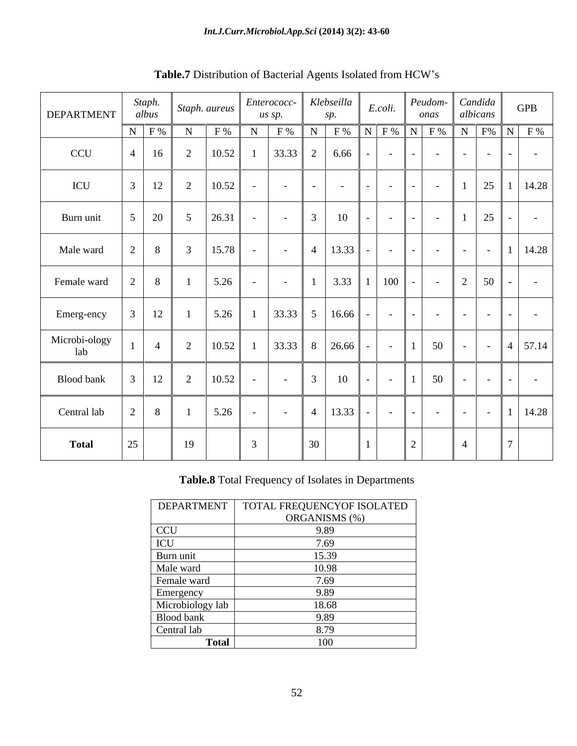| DEPARTMENT           | Staph.<br>albus | $\vert$ Staph. aureus $\vert$                                                      | us sp.        | Enterococc- Klebseilla    |                          | E.coli.                            | onas                     | Peudom-Candida<br>albicans | <b>GPB</b>                                                |
|----------------------|-----------------|------------------------------------------------------------------------------------|---------------|---------------------------|--------------------------|------------------------------------|--------------------------|----------------------------|-----------------------------------------------------------|
|                      | $N$ $F%$        | $N \mid F\% \mid$                                                                  |               |                           |                          |                                    |                          |                            | N   F %   N   F %   N   F %   N   F %   N   F %   N   F % |
| CCU                  |                 | $\vert$ 4   16   2   10.52   1   33.33   2   6.66                                  |               |                           |                          | $-1$ $-1$                          | $\sim 100$               |                            | <b>Contract Contract</b>                                  |
| ICU                  | $12$            | 2   10.52                                                                          | $-1$          | <b>Contract Contract</b>  | <b>Contract Contract</b> | $\sim$ $  -$                       | $\sim$ $-$               |                            | $25 \mid 1 \mid 14.28 \mid$                               |
| Burn unit            |                 | $5 \mid 20 \mid 5 \mid 26.31 \mid$                                                 | $-1$          | $-$ 3                     | 10                       | $\sim$ $  -$                       | $\sim$                   |                            | $125$ $ -$                                                |
| Male ward            | $2 \mid 8 \mid$ | 3   15.78                                                                          | $-1$          | $-$ 4   13.33   $-$   $-$ |                          |                                    | <b>Contract Contract</b> |                            | $  1$ $14.28$                                             |
| Female ward          |                 | 5.26<br>$\begin{array}{c} 1 \end{array}$                                           |               | $\sim 100$ km s $^{-1}$   |                          | $3.33$   1   100   -               | $\sim$ $ \sim$ $-$       |                            | $2   50   -   -$                                          |
| Emerg-ency           | 12              | $1 \t 5.26$                                                                        |               | $33.33$ 5 16.66           |                          | $\sim$ $\sim$ $\sim$ $\sim$ $\sim$ |                          |                            |                                                           |
| Microbi-ology<br>lab |                 | $1   4   2   10.52   1   33.33   8   26.66   -   -   1   50   -   -   4   57.14  $ |               |                           |                          |                                    |                          |                            |                                                           |
| Blood bank           | 12              | 2   10.52                                                                          | $\sim$ $-$    | $\sim$ $  -$              | - 10                     | - 1 - 1                            | $1 \mid 50$              |                            | $\sim$ $-$                                                |
| Central lab          | 8 <sup>1</sup>  | 5.26                                                                               | $-1$          | $-$ 4   13.33   -   -     |                          |                                    | <b>Contract Contract</b> |                            | $  1$ $14.28$                                             |
| <b>Total</b>         | $\frac{25}{2}$  | 19                                                                                 | $\mathcal{L}$ | 30 <sup>°</sup>           |                          | $\perp$                            |                          |                            |                                                           |

**Table.7** Distribution of Bacterial Agents Isolated from HCW s

# **Table.8** Total Frequency of Isolates in Departments

| <b>DEPARTMENT</b> | TOTAL FREQUENCYOF ISOLATED |
|-------------------|----------------------------|
|                   | ORGANISMS (%)              |
| <b>CCU</b>        | 9.89                       |
| ICU               | 7.69                       |
| Burn unit         | 15.39                      |
| Male ward         | 10.98                      |
| Female ward       | 7.69                       |
| Emergency         | 9.89                       |
| Microbiology lab  | 18.68                      |
| Blood bank        | 9.89                       |
| Central lab       | 8.79                       |
| <b>Total</b>      | 100                        |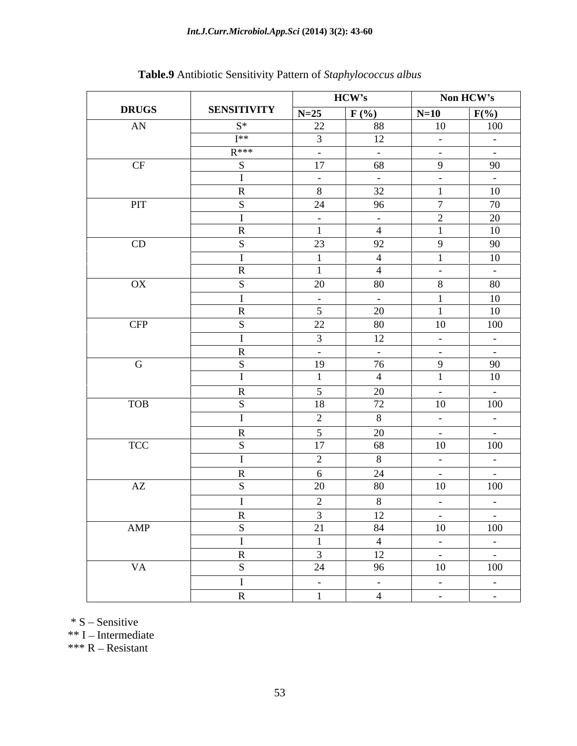### *Int.J.Curr.Microbiol.App.Sci* **(2014) 3(2): 43-60**

|              |                    |                             | HCW's                                                |                                                                                                                                                                                                                                                                                                                                                                                                                                                           | Non HCW's                                                                           |
|--------------|--------------------|-----------------------------|------------------------------------------------------|-----------------------------------------------------------------------------------------------------------------------------------------------------------------------------------------------------------------------------------------------------------------------------------------------------------------------------------------------------------------------------------------------------------------------------------------------------------|-------------------------------------------------------------------------------------|
| <b>DRUGS</b> | <b>SENSITIVITY</b> | $N=25$ $F(*)$               |                                                      | $N=10$                                                                                                                                                                                                                                                                                                                                                                                                                                                    | $F(\% )$                                                                            |
| AN           | $S^*$              | 22                          | 88                                                   | 10                                                                                                                                                                                                                                                                                                                                                                                                                                                        | 100                                                                                 |
|              | <b>T</b> **        |                             | 12                                                   | <b>Contract Contract</b>                                                                                                                                                                                                                                                                                                                                                                                                                                  | <b>Contract Contract</b>                                                            |
|              | $R***$             | <b>Contract Contract</b>    | <b>Contractor</b>                                    | $\alpha$ , $\alpha$ , $\alpha$ , $\alpha$ , $\alpha$                                                                                                                                                                                                                                                                                                                                                                                                      | <b>Contract Contract</b>                                                            |
| CF           |                    | 17                          | 68                                                   | $\overline{9}$                                                                                                                                                                                                                                                                                                                                                                                                                                            | 90                                                                                  |
|              |                    | <b>Contract Contract</b>    | <b>Contract Contract</b>                             | <b>Contractor</b>                                                                                                                                                                                                                                                                                                                                                                                                                                         | <b>Contract Contract</b>                                                            |
|              |                    | 8 <sup>1</sup>              | 32                                                   |                                                                                                                                                                                                                                                                                                                                                                                                                                                           | 10                                                                                  |
| PIT          |                    | 24                          | 96                                                   | $7\phantom{.0}\phantom{.0}7$<br>$\gamma$                                                                                                                                                                                                                                                                                                                                                                                                                  | 70<br>20                                                                            |
|              |                    | $\sim 100$ m $^{-1}$        | <b>Contractor</b><br>$\sim$ 4                        | $\blacksquare$                                                                                                                                                                                                                                                                                                                                                                                                                                            | 10                                                                                  |
| CD           |                    | 23                          | 92                                                   | $\mathbf{Q}$                                                                                                                                                                                                                                                                                                                                                                                                                                              | 90                                                                                  |
|              |                    |                             | $\overline{4}$                                       | $\blacksquare$                                                                                                                                                                                                                                                                                                                                                                                                                                            | 10                                                                                  |
|              |                    |                             |                                                      | <b>Contract Contract</b>                                                                                                                                                                                                                                                                                                                                                                                                                                  | $\sim 1000$ m $^{-1}$                                                               |
| OX           |                    | 20                          | 80                                                   | 8 <sup>7</sup>                                                                                                                                                                                                                                                                                                                                                                                                                                            | 80                                                                                  |
|              |                    | $\sim$ $ \sim$              | <b>Contract Contract</b>                             | $\blacksquare$                                                                                                                                                                                                                                                                                                                                                                                                                                            | $\overline{10}$                                                                     |
|              |                    | 5                           | 20                                                   |                                                                                                                                                                                                                                                                                                                                                                                                                                                           | 10                                                                                  |
| <b>CFP</b>   |                    | 22                          | 80                                                   | 10                                                                                                                                                                                                                                                                                                                                                                                                                                                        | 100                                                                                 |
|              |                    |                             | 12                                                   | $\alpha$ , $\alpha$ , $\alpha$ , $\alpha$ , $\alpha$                                                                                                                                                                                                                                                                                                                                                                                                      | $\sim 100$ km s $^{-1}$                                                             |
|              |                    | $\sim$ $-$                  | <b>Contract Contract</b>                             | $\alpha$ and $\alpha$ and $\alpha$                                                                                                                                                                                                                                                                                                                                                                                                                        | $\sim 1000$ m $^{-1}$                                                               |
| $\mathbf{G}$ |                    | 19                          | 76                                                   | $\overline{9}$                                                                                                                                                                                                                                                                                                                                                                                                                                            | $\overline{90}$                                                                     |
|              |                    |                             |                                                      |                                                                                                                                                                                                                                                                                                                                                                                                                                                           | 10                                                                                  |
|              |                    | $\sim$                      | 20                                                   | <b>Contract Contract</b>                                                                                                                                                                                                                                                                                                                                                                                                                                  | <b>Contract Contract</b>                                                            |
| <b>TOB</b>   |                    | 18                          | 72                                                   | 10                                                                                                                                                                                                                                                                                                                                                                                                                                                        | 100                                                                                 |
|              |                    | $\bigcap$<br>$\overline{a}$ | $\mathbf{Q}$                                         | $\sim 1000$ km s $^{-1}$                                                                                                                                                                                                                                                                                                                                                                                                                                  | $\sim 100$ km s $^{-1}$                                                             |
|              |                    | $\sim$ 5                    | 20                                                   | <b>Contractor</b>                                                                                                                                                                                                                                                                                                                                                                                                                                         | <b>Contract Contract</b>                                                            |
| <b>TCC</b>   |                    | 17                          | 68                                                   | 10                                                                                                                                                                                                                                                                                                                                                                                                                                                        | 100                                                                                 |
|              |                    | 2                           | $\mathbf{R}$                                         | $\sim 1000$ m $^{-1}$                                                                                                                                                                                                                                                                                                                                                                                                                                     | $\sim 100$ m $^{-1}$                                                                |
|              |                    | - 6                         | 24                                                   | <b>Contract Contract</b>                                                                                                                                                                                                                                                                                                                                                                                                                                  | <b>Contract Contract</b>                                                            |
| AZ           |                    | 20                          | 80                                                   | 10                                                                                                                                                                                                                                                                                                                                                                                                                                                        | 100                                                                                 |
|              |                    |                             | $\mathbf{8}$                                         | $\sim$ $-$                                                                                                                                                                                                                                                                                                                                                                                                                                                | <b>Contract Contract</b>                                                            |
|              |                    |                             | 12                                                   | $\alpha$ , $\alpha$ , $\alpha$ , $\alpha$ , $\alpha$                                                                                                                                                                                                                                                                                                                                                                                                      | $\alpha$ , $\alpha$ , $\alpha$ , $\alpha$ , $\alpha$                                |
| AMP          |                    | 21                          | 84                                                   | 10                                                                                                                                                                                                                                                                                                                                                                                                                                                        | 100                                                                                 |
|              |                    |                             | $\overline{4}$                                       | $\mathcal{L}^{\mathcal{L}}(\mathcal{L}^{\mathcal{L}}(\mathcal{L}^{\mathcal{L}}(\mathcal{L}^{\mathcal{L}}(\mathcal{L}^{\mathcal{L}}(\mathcal{L}^{\mathcal{L}}(\mathcal{L}^{\mathcal{L}}(\mathcal{L}^{\mathcal{L}}(\mathcal{L}^{\mathcal{L}}(\mathcal{L}^{\mathcal{L}}(\mathcal{L}^{\mathcal{L}}(\mathcal{L}^{\mathcal{L}}(\mathcal{L}^{\mathcal{L}}(\mathcal{L}^{\mathcal{L}}(\mathcal{L}^{\mathcal{L}}(\mathcal{L}^{\mathcal{L}}(\mathcal{L}^{\mathcal{L$ | $\mathcal{L}^{\mathcal{L}}(\mathbf{z})$ and $\mathcal{L}^{\mathcal{L}}(\mathbf{z})$ |
|              |                    | $\overline{3}$              | 12                                                   | $\mathcal{L}(\mathcal{L})$ and $\mathcal{L}(\mathcal{L})$                                                                                                                                                                                                                                                                                                                                                                                                 | $\frac{1}{100}$                                                                     |
| <b>VA</b>    |                    | 24                          | 96                                                   | 10                                                                                                                                                                                                                                                                                                                                                                                                                                                        |                                                                                     |
|              |                    | $\sim 100$ km s $^{-1}$     | $\alpha$ , $\alpha$ , $\alpha$ , $\alpha$ , $\alpha$ | $\mathcal{L}_{\rm{max}}$ and $\mathcal{L}_{\rm{max}}$                                                                                                                                                                                                                                                                                                                                                                                                     | $\alpha$ , $\alpha$ , $\alpha$ , $\alpha$ , $\alpha$                                |
|              |                    |                             | $\sim$ 4                                             | $\mathcal{L}(\mathcal{L})$ , and $\mathcal{L}(\mathcal{L})$ , and                                                                                                                                                                                                                                                                                                                                                                                         | $\mathcal{L}^{\mathcal{L}}$ and $\mathcal{L}^{\mathcal{L}}$ .                       |

# **Table.9** Antibiotic Sensitivity Pattern of *Staphylococcus albus*

 $\ast$  S – Sensitive

 $**$  I – Intermediate

\*\*\*  $R$  – Resistant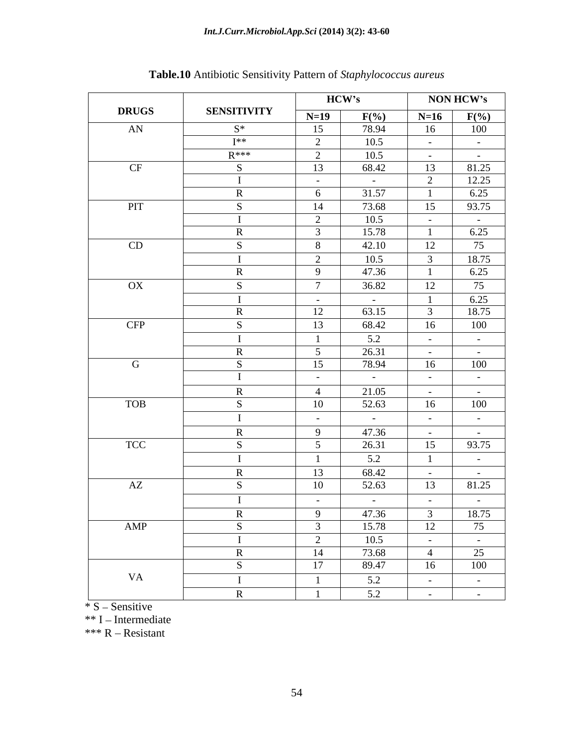| <b>DRUGS</b><br><b>SENSITIVITY</b><br>$N=16$ $F(\%)$<br>$N=19$ $F(\%)$<br>78.94<br>AN<br>$S^*$<br>15<br>100<br>16<br>$I**$<br>10.5<br><b>Contract Contract</b><br>$\sim$ 100 $\sim$<br>$R^{***}$<br>10.5<br>2<br>CF<br>68.42<br>$\begin{array}{ c c } \hline 81.25 \\ \hline 12.25 \\ \hline \end{array}$<br>13<br>13<br><b>Contract Contract</b><br><b>Contract Contract</b><br>6.25<br>31.57<br>6<br>the control of the control of the<br>93.75<br>73.68<br>PIT<br>14<br>15<br>10.5<br><b>Contract Contract</b><br>$\sim$ $  \sim$<br>$\frac{1}{6.25}$<br>15.78<br>CD<br>42.10<br>75<br>12<br>- 8<br>18.75<br>10.5<br>6.25<br>47.36<br>- 9<br>the control of the control of the<br>36.82<br>$\mathbf{OX}$<br>75<br>12<br>6.25<br><b>Contractor</b><br><b>Contract Contract</b><br>18.75<br>63.15<br>12<br>CFP<br>68.42<br>100<br>13<br>16<br>5.2<br><b>Contract Contract</b><br>$\sim 100$ m $^{-1}$<br>26.31<br>$\sim$ 5<br><b>Contractor</b><br>$\sim$ $  \sim$ $-$<br>78.94<br>100<br>15<br>G<br>16<br>$\sim$ $ \sim$<br>$\sim 10^{-10}$<br><b>Contract Contract</b><br>$\sim 1000$ m $^{-1}$<br>21.05<br><b>Contractor</b><br>$\sim 100$ m $^{-1}$<br>$\overline{4}$<br>$16$ $100$<br><b>TOB</b><br>52.63<br>10<br>$\sim 10^{-10}$ m $^{-1}$<br>$\sim 100$ m $^{-1}$<br>$\sim 10^{-10}$<br>$\alpha$ and $\alpha$ and $\alpha$<br>47.36<br>$\overline{q}$<br><b>Contract Contract</b><br><b>Contract Contract</b><br>TCC<br>26.31<br>93.75<br>15<br>$\sqrt{5}$<br>5.2<br>$\mathcal{L}_{\rm{max}}$ and $\mathcal{L}_{\rm{max}}$<br>13<br>68.42<br><b>Contract Contract</b><br><b>Contract Contract</b><br>81.25<br>AZ<br>10<br>52.63<br>13<br>$\sim 100$ m $^{-1}$<br>$\sim 100$ km s $^{-1}$<br>$\sim$ $ \sim$<br>$\sim$ $ \sim$<br>$\begin{array}{ c c c c c }\n\hline\n47.36 & 3 & 18.75 \\ \hline\n15.78 & 12 & 75\n\end{array}$<br>$9 \mid$<br>AMP<br>the control of the control of the control of<br>10.5<br>2<br>$\sim 10^{-10}$ m $^{-1}$<br>$\mathcal{L}(\mathcal{L})$ and $\mathcal{L}(\mathcal{L})$<br>$\overline{4}$ $\overline{25}$<br>73.68<br>14<br>100<br>89.47<br>17<br>16<br><b>VA</b><br>5.2<br>$\overline{1}$<br>$\alpha_{\rm{max}}=0.01$<br>$\alpha_{\rm{max}}=0.01$ |  | HCW's |     | <b>NON HCW's</b>                         |
|-----------------------------------------------------------------------------------------------------------------------------------------------------------------------------------------------------------------------------------------------------------------------------------------------------------------------------------------------------------------------------------------------------------------------------------------------------------------------------------------------------------------------------------------------------------------------------------------------------------------------------------------------------------------------------------------------------------------------------------------------------------------------------------------------------------------------------------------------------------------------------------------------------------------------------------------------------------------------------------------------------------------------------------------------------------------------------------------------------------------------------------------------------------------------------------------------------------------------------------------------------------------------------------------------------------------------------------------------------------------------------------------------------------------------------------------------------------------------------------------------------------------------------------------------------------------------------------------------------------------------------------------------------------------------------------------------------------------------------------------------------------------------------------------------------------------------------------------------------------------------------------------------------------------------------------------------------------------------------------------------------------------------------------------------------------------------------------------------------------------------------------------------------------------------------------------------|--|-------|-----|------------------------------------------|
|                                                                                                                                                                                                                                                                                                                                                                                                                                                                                                                                                                                                                                                                                                                                                                                                                                                                                                                                                                                                                                                                                                                                                                                                                                                                                                                                                                                                                                                                                                                                                                                                                                                                                                                                                                                                                                                                                                                                                                                                                                                                                                                                                                                               |  |       |     |                                          |
|                                                                                                                                                                                                                                                                                                                                                                                                                                                                                                                                                                                                                                                                                                                                                                                                                                                                                                                                                                                                                                                                                                                                                                                                                                                                                                                                                                                                                                                                                                                                                                                                                                                                                                                                                                                                                                                                                                                                                                                                                                                                                                                                                                                               |  |       |     |                                          |
|                                                                                                                                                                                                                                                                                                                                                                                                                                                                                                                                                                                                                                                                                                                                                                                                                                                                                                                                                                                                                                                                                                                                                                                                                                                                                                                                                                                                                                                                                                                                                                                                                                                                                                                                                                                                                                                                                                                                                                                                                                                                                                                                                                                               |  |       |     |                                          |
|                                                                                                                                                                                                                                                                                                                                                                                                                                                                                                                                                                                                                                                                                                                                                                                                                                                                                                                                                                                                                                                                                                                                                                                                                                                                                                                                                                                                                                                                                                                                                                                                                                                                                                                                                                                                                                                                                                                                                                                                                                                                                                                                                                                               |  |       |     |                                          |
|                                                                                                                                                                                                                                                                                                                                                                                                                                                                                                                                                                                                                                                                                                                                                                                                                                                                                                                                                                                                                                                                                                                                                                                                                                                                                                                                                                                                                                                                                                                                                                                                                                                                                                                                                                                                                                                                                                                                                                                                                                                                                                                                                                                               |  |       |     |                                          |
|                                                                                                                                                                                                                                                                                                                                                                                                                                                                                                                                                                                                                                                                                                                                                                                                                                                                                                                                                                                                                                                                                                                                                                                                                                                                                                                                                                                                                                                                                                                                                                                                                                                                                                                                                                                                                                                                                                                                                                                                                                                                                                                                                                                               |  |       |     |                                          |
|                                                                                                                                                                                                                                                                                                                                                                                                                                                                                                                                                                                                                                                                                                                                                                                                                                                                                                                                                                                                                                                                                                                                                                                                                                                                                                                                                                                                                                                                                                                                                                                                                                                                                                                                                                                                                                                                                                                                                                                                                                                                                                                                                                                               |  |       |     |                                          |
|                                                                                                                                                                                                                                                                                                                                                                                                                                                                                                                                                                                                                                                                                                                                                                                                                                                                                                                                                                                                                                                                                                                                                                                                                                                                                                                                                                                                                                                                                                                                                                                                                                                                                                                                                                                                                                                                                                                                                                                                                                                                                                                                                                                               |  |       |     |                                          |
|                                                                                                                                                                                                                                                                                                                                                                                                                                                                                                                                                                                                                                                                                                                                                                                                                                                                                                                                                                                                                                                                                                                                                                                                                                                                                                                                                                                                                                                                                                                                                                                                                                                                                                                                                                                                                                                                                                                                                                                                                                                                                                                                                                                               |  |       |     |                                          |
|                                                                                                                                                                                                                                                                                                                                                                                                                                                                                                                                                                                                                                                                                                                                                                                                                                                                                                                                                                                                                                                                                                                                                                                                                                                                                                                                                                                                                                                                                                                                                                                                                                                                                                                                                                                                                                                                                                                                                                                                                                                                                                                                                                                               |  |       |     |                                          |
|                                                                                                                                                                                                                                                                                                                                                                                                                                                                                                                                                                                                                                                                                                                                                                                                                                                                                                                                                                                                                                                                                                                                                                                                                                                                                                                                                                                                                                                                                                                                                                                                                                                                                                                                                                                                                                                                                                                                                                                                                                                                                                                                                                                               |  |       |     |                                          |
|                                                                                                                                                                                                                                                                                                                                                                                                                                                                                                                                                                                                                                                                                                                                                                                                                                                                                                                                                                                                                                                                                                                                                                                                                                                                                                                                                                                                                                                                                                                                                                                                                                                                                                                                                                                                                                                                                                                                                                                                                                                                                                                                                                                               |  |       |     |                                          |
|                                                                                                                                                                                                                                                                                                                                                                                                                                                                                                                                                                                                                                                                                                                                                                                                                                                                                                                                                                                                                                                                                                                                                                                                                                                                                                                                                                                                                                                                                                                                                                                                                                                                                                                                                                                                                                                                                                                                                                                                                                                                                                                                                                                               |  |       |     |                                          |
|                                                                                                                                                                                                                                                                                                                                                                                                                                                                                                                                                                                                                                                                                                                                                                                                                                                                                                                                                                                                                                                                                                                                                                                                                                                                                                                                                                                                                                                                                                                                                                                                                                                                                                                                                                                                                                                                                                                                                                                                                                                                                                                                                                                               |  |       |     |                                          |
|                                                                                                                                                                                                                                                                                                                                                                                                                                                                                                                                                                                                                                                                                                                                                                                                                                                                                                                                                                                                                                                                                                                                                                                                                                                                                                                                                                                                                                                                                                                                                                                                                                                                                                                                                                                                                                                                                                                                                                                                                                                                                                                                                                                               |  |       |     |                                          |
|                                                                                                                                                                                                                                                                                                                                                                                                                                                                                                                                                                                                                                                                                                                                                                                                                                                                                                                                                                                                                                                                                                                                                                                                                                                                                                                                                                                                                                                                                                                                                                                                                                                                                                                                                                                                                                                                                                                                                                                                                                                                                                                                                                                               |  |       |     |                                          |
|                                                                                                                                                                                                                                                                                                                                                                                                                                                                                                                                                                                                                                                                                                                                                                                                                                                                                                                                                                                                                                                                                                                                                                                                                                                                                                                                                                                                                                                                                                                                                                                                                                                                                                                                                                                                                                                                                                                                                                                                                                                                                                                                                                                               |  |       |     |                                          |
|                                                                                                                                                                                                                                                                                                                                                                                                                                                                                                                                                                                                                                                                                                                                                                                                                                                                                                                                                                                                                                                                                                                                                                                                                                                                                                                                                                                                                                                                                                                                                                                                                                                                                                                                                                                                                                                                                                                                                                                                                                                                                                                                                                                               |  |       |     |                                          |
|                                                                                                                                                                                                                                                                                                                                                                                                                                                                                                                                                                                                                                                                                                                                                                                                                                                                                                                                                                                                                                                                                                                                                                                                                                                                                                                                                                                                                                                                                                                                                                                                                                                                                                                                                                                                                                                                                                                                                                                                                                                                                                                                                                                               |  |       |     |                                          |
|                                                                                                                                                                                                                                                                                                                                                                                                                                                                                                                                                                                                                                                                                                                                                                                                                                                                                                                                                                                                                                                                                                                                                                                                                                                                                                                                                                                                                                                                                                                                                                                                                                                                                                                                                                                                                                                                                                                                                                                                                                                                                                                                                                                               |  |       |     |                                          |
|                                                                                                                                                                                                                                                                                                                                                                                                                                                                                                                                                                                                                                                                                                                                                                                                                                                                                                                                                                                                                                                                                                                                                                                                                                                                                                                                                                                                                                                                                                                                                                                                                                                                                                                                                                                                                                                                                                                                                                                                                                                                                                                                                                                               |  |       |     |                                          |
|                                                                                                                                                                                                                                                                                                                                                                                                                                                                                                                                                                                                                                                                                                                                                                                                                                                                                                                                                                                                                                                                                                                                                                                                                                                                                                                                                                                                                                                                                                                                                                                                                                                                                                                                                                                                                                                                                                                                                                                                                                                                                                                                                                                               |  |       |     |                                          |
|                                                                                                                                                                                                                                                                                                                                                                                                                                                                                                                                                                                                                                                                                                                                                                                                                                                                                                                                                                                                                                                                                                                                                                                                                                                                                                                                                                                                                                                                                                                                                                                                                                                                                                                                                                                                                                                                                                                                                                                                                                                                                                                                                                                               |  |       |     |                                          |
|                                                                                                                                                                                                                                                                                                                                                                                                                                                                                                                                                                                                                                                                                                                                                                                                                                                                                                                                                                                                                                                                                                                                                                                                                                                                                                                                                                                                                                                                                                                                                                                                                                                                                                                                                                                                                                                                                                                                                                                                                                                                                                                                                                                               |  |       |     |                                          |
|                                                                                                                                                                                                                                                                                                                                                                                                                                                                                                                                                                                                                                                                                                                                                                                                                                                                                                                                                                                                                                                                                                                                                                                                                                                                                                                                                                                                                                                                                                                                                                                                                                                                                                                                                                                                                                                                                                                                                                                                                                                                                                                                                                                               |  |       |     |                                          |
|                                                                                                                                                                                                                                                                                                                                                                                                                                                                                                                                                                                                                                                                                                                                                                                                                                                                                                                                                                                                                                                                                                                                                                                                                                                                                                                                                                                                                                                                                                                                                                                                                                                                                                                                                                                                                                                                                                                                                                                                                                                                                                                                                                                               |  |       |     |                                          |
|                                                                                                                                                                                                                                                                                                                                                                                                                                                                                                                                                                                                                                                                                                                                                                                                                                                                                                                                                                                                                                                                                                                                                                                                                                                                                                                                                                                                                                                                                                                                                                                                                                                                                                                                                                                                                                                                                                                                                                                                                                                                                                                                                                                               |  |       |     |                                          |
|                                                                                                                                                                                                                                                                                                                                                                                                                                                                                                                                                                                                                                                                                                                                                                                                                                                                                                                                                                                                                                                                                                                                                                                                                                                                                                                                                                                                                                                                                                                                                                                                                                                                                                                                                                                                                                                                                                                                                                                                                                                                                                                                                                                               |  |       |     |                                          |
|                                                                                                                                                                                                                                                                                                                                                                                                                                                                                                                                                                                                                                                                                                                                                                                                                                                                                                                                                                                                                                                                                                                                                                                                                                                                                                                                                                                                                                                                                                                                                                                                                                                                                                                                                                                                                                                                                                                                                                                                                                                                                                                                                                                               |  |       |     |                                          |
|                                                                                                                                                                                                                                                                                                                                                                                                                                                                                                                                                                                                                                                                                                                                                                                                                                                                                                                                                                                                                                                                                                                                                                                                                                                                                                                                                                                                                                                                                                                                                                                                                                                                                                                                                                                                                                                                                                                                                                                                                                                                                                                                                                                               |  |       |     |                                          |
|                                                                                                                                                                                                                                                                                                                                                                                                                                                                                                                                                                                                                                                                                                                                                                                                                                                                                                                                                                                                                                                                                                                                                                                                                                                                                                                                                                                                                                                                                                                                                                                                                                                                                                                                                                                                                                                                                                                                                                                                                                                                                                                                                                                               |  |       |     |                                          |
|                                                                                                                                                                                                                                                                                                                                                                                                                                                                                                                                                                                                                                                                                                                                                                                                                                                                                                                                                                                                                                                                                                                                                                                                                                                                                                                                                                                                                                                                                                                                                                                                                                                                                                                                                                                                                                                                                                                                                                                                                                                                                                                                                                                               |  |       |     |                                          |
|                                                                                                                                                                                                                                                                                                                                                                                                                                                                                                                                                                                                                                                                                                                                                                                                                                                                                                                                                                                                                                                                                                                                                                                                                                                                                                                                                                                                                                                                                                                                                                                                                                                                                                                                                                                                                                                                                                                                                                                                                                                                                                                                                                                               |  |       |     |                                          |
|                                                                                                                                                                                                                                                                                                                                                                                                                                                                                                                                                                                                                                                                                                                                                                                                                                                                                                                                                                                                                                                                                                                                                                                                                                                                                                                                                                                                                                                                                                                                                                                                                                                                                                                                                                                                                                                                                                                                                                                                                                                                                                                                                                                               |  |       |     |                                          |
|                                                                                                                                                                                                                                                                                                                                                                                                                                                                                                                                                                                                                                                                                                                                                                                                                                                                                                                                                                                                                                                                                                                                                                                                                                                                                                                                                                                                                                                                                                                                                                                                                                                                                                                                                                                                                                                                                                                                                                                                                                                                                                                                                                                               |  |       |     |                                          |
|                                                                                                                                                                                                                                                                                                                                                                                                                                                                                                                                                                                                                                                                                                                                                                                                                                                                                                                                                                                                                                                                                                                                                                                                                                                                                                                                                                                                                                                                                                                                                                                                                                                                                                                                                                                                                                                                                                                                                                                                                                                                                                                                                                                               |  |       | 5.2 | $\sim$ $  \sim$<br>$\sim 1000$ m $^{-1}$ |

**Table.10** Antibiotic Sensitivity Pattern of *Staphylococcus aureus*

 $\frac{1}{\sqrt{2}}$  S – Sensitive

 $**$  I – Intermediate

\*\*\*  $R$  – Resistant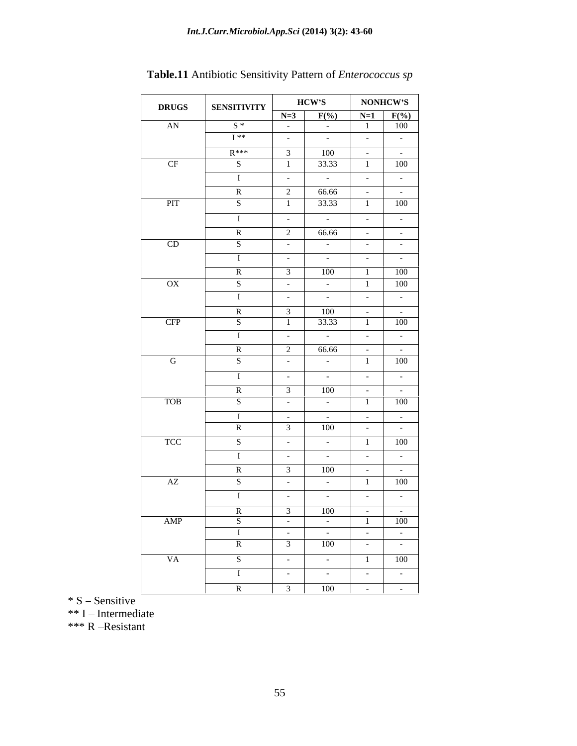|                                                                                                                                                                                                                                                                                                  |                    | <b>HCW'S</b>                                                                           |                                                                 | <b>NONHCW'S</b>                                                                                                              |
|--------------------------------------------------------------------------------------------------------------------------------------------------------------------------------------------------------------------------------------------------------------------------------------------------|--------------------|----------------------------------------------------------------------------------------|-----------------------------------------------------------------|------------------------------------------------------------------------------------------------------------------------------|
| <b>DRUGS</b>                                                                                                                                                                                                                                                                                     | <b>SENSITIVITY</b> | $N=3$ $F(\%)$ $N=1$ $F(\%)$                                                            |                                                                 |                                                                                                                              |
| AN                                                                                                                                                                                                                                                                                               | $S^*$              | <b>Contract Contract</b><br>$\sim$ $ \sim$                                             | $\mathbf{1}$                                                    | 100<br><u> The Common Section of the Common Section of the Common Section of the Common Section of the Common Section of</u> |
|                                                                                                                                                                                                                                                                                                  | ■ 【 **             | <b>Contractor</b><br>$  -$                                                             |                                                                 | and the contract of the contract of                                                                                          |
|                                                                                                                                                                                                                                                                                                  | $R***$             | 100<br>$\sim$ 3 $\sim$ 1                                                               | <b>Contract Contract</b>                                        | and the state of the state of the                                                                                            |
| CF                                                                                                                                                                                                                                                                                               | -S                 | 33.33                                                                                  |                                                                 | $\boxed{100}$                                                                                                                |
|                                                                                                                                                                                                                                                                                                  |                    | $\mathcal{L} = \{ \mathcal{L} \}$<br>and the state of the                              |                                                                 | .                                                                                                                            |
|                                                                                                                                                                                                                                                                                                  | $\mathbb{R}$       | 66.66<br>$2 \mid$                                                                      | $\sim$ $-$                                                      | <b>Contract Contract</b>                                                                                                     |
| <b>PIT</b>                                                                                                                                                                                                                                                                                       | $\mathbf{S}$       | $1 \t 33.33 \t 1 \t 100$                                                               |                                                                 |                                                                                                                              |
|                                                                                                                                                                                                                                                                                                  |                    | <b>Service State</b><br>$\sim$ 100 $\sim$ 100 $\sim$                                   | $\sim$ $-$                                                      | $\mathbf{I}$ and $\mathbf{I}$ and $\mathbf{I}$                                                                               |
|                                                                                                                                                                                                                                                                                                  | $\mathbb{R}$       | 2 66.66                                                                                | $\sim$ $\sim$                                                   | $\mathcal{L}(\mathcal{L})$ and $\mathcal{L}(\mathcal{L})$                                                                    |
| CD                                                                                                                                                                                                                                                                                               |                    | $\mathcal{L}_{\rm{max}}$ and $\mathcal{L}_{\rm{max}}$<br><b>Contract Contract</b>      | $\sim$ $-$                                                      | $\sim 100$ m $^{-1}$                                                                                                         |
|                                                                                                                                                                                                                                                                                                  |                    | <b>Contract Contract</b><br>$\sim$ 100 $\mu$                                           | $\sim$ $-$                                                      | <b>The Common</b>                                                                                                            |
|                                                                                                                                                                                                                                                                                                  | - R                | 100                                                                                    |                                                                 | 100                                                                                                                          |
| $\mathbf{OX}$                                                                                                                                                                                                                                                                                    | -S.                | $\sim 10^{-10}$ m $^{-1}$<br>$\sim 10^{-10}$                                           |                                                                 | $\vert$ 100                                                                                                                  |
|                                                                                                                                                                                                                                                                                                  |                    | <b>Contract Contract</b><br>$\sim$ $ \sim$                                             | $\sim$ $-$                                                      | $\mathcal{L}(\mathcal{L})$ and $\mathcal{L}(\mathcal{L})$ .                                                                  |
|                                                                                                                                                                                                                                                                                                  | $\mathbf R$        | 100<br>3 I                                                                             | $\sim$ $-$                                                      | <b>Contract Contract Contract</b>                                                                                            |
| <b>CFP</b>                                                                                                                                                                                                                                                                                       | S.                 | 33.33<br>——                                                                            |                                                                 | 100<br>$\overline{\phantom{a}}$                                                                                              |
|                                                                                                                                                                                                                                                                                                  |                    | <b>Contractor</b><br>$\mathcal{L} = \{ \mathcal{L} \}$                                 |                                                                 | $\sim$ $ \sim$ $\sim$ $ \sim$ $-$<br>the contract of the contract of                                                         |
|                                                                                                                                                                                                                                                                                                  | $\mathbb{R}$       | 66.66<br>2 I                                                                           | $\sim 100$ m $^{-1}$                                            | $\mathbf{1}$ and $\mathbf{1}$ and $\mathbf{1}$                                                                               |
| $\mathbf{G}$ and $\mathbf{G}$ and $\mathbf{G}$ and $\mathbf{G}$ and $\mathbf{G}$ and $\mathbf{G}$ and $\mathbf{G}$ and $\mathbf{G}$ and $\mathbf{G}$ and $\mathbf{G}$ and $\mathbf{G}$ and $\mathbf{G}$ and $\mathbf{G}$ and $\mathbf{G}$ and $\mathbf{G}$ and $\mathbf{G}$ and $\mathbf{G}$ and | S                  | and the company<br>$\mathcal{L} = \{ \mathcal{L} \}$                                   |                                                                 | $\overline{1}$ $\overline{100}$<br>the contract of the contract of the                                                       |
|                                                                                                                                                                                                                                                                                                  |                    | <b>Contract Contract</b><br>$\sim$ 100 $\sim$ 100 $\sim$                               |                                                                 | and the state of the state of the                                                                                            |
|                                                                                                                                                                                                                                                                                                  | R.                 | 100                                                                                    | $\sim$ $-$                                                      | <b>Contract Contract</b>                                                                                                     |
| <b>TOB</b>                                                                                                                                                                                                                                                                                       | - S -              | <b>Contract Contract</b>                                                               |                                                                 | 100                                                                                                                          |
|                                                                                                                                                                                                                                                                                                  | -1.                | <b>Contract Contract</b><br>$\sim$ 100 $\mu$                                           | $\sim$ $-$                                                      | $\mathcal{L}(\mathcal{L})$ and $\mathcal{L}(\mathcal{L})$ .                                                                  |
|                                                                                                                                                                                                                                                                                                  | R                  | 100                                                                                    |                                                                 | <b>Contract Contract</b>                                                                                                     |
| <b>TCC</b>                                                                                                                                                                                                                                                                                       | - S                | $\alpha$ , $\alpha$ , $\alpha$ , $\alpha$ , $\alpha$<br>$\sim$ 100 $\mu$               |                                                                 | 100<br>and the contract of the contract of                                                                                   |
|                                                                                                                                                                                                                                                                                                  |                    | <b>Contract Contract</b><br><b>Contract Contract</b>                                   | $\alpha$ , $\alpha$ , $\alpha$ , $\alpha$ , $\alpha$ , $\alpha$ | <b>Contract Contract Contract</b>                                                                                            |
|                                                                                                                                                                                                                                                                                                  | - R                | 100                                                                                    |                                                                 | $\sim$ $-$                                                                                                                   |
| AZ                                                                                                                                                                                                                                                                                               | - S -              | $\sim 100$ km s $^{-1}$<br>$\mathcal{L}_{\rm{max}}$ and $\mathcal{L}_{\rm{max}}$<br>—— | $\blacksquare$                                                  | 100                                                                                                                          |
|                                                                                                                                                                                                                                                                                                  |                    | $ -$<br>and the state of                                                               |                                                                 | $\sim$ $ \sim$ $\sim$ $ -$                                                                                                   |
|                                                                                                                                                                                                                                                                                                  | $\mathbf{R}$       | 100<br>$\overline{\mathbf{3}}$                                                         |                                                                 | $\sim$ $    -$                                                                                                               |
| AMP                                                                                                                                                                                                                                                                                              |                    | <b>Contract Contract</b>                                                               |                                                                 | $\boxed{100}$                                                                                                                |
|                                                                                                                                                                                                                                                                                                  |                    | <b>Contract Contract</b><br><b>Contract Contract</b><br>100                            | $\sim 100$ m $^{-1}$                                            | $\mathcal{L}(\mathcal{L})$ and $\mathcal{L}(\mathcal{L})$ . The $\mathcal{L}(\mathcal{L})$                                   |
|                                                                                                                                                                                                                                                                                                  | $\mathbf{R}$       |                                                                                        | $\sim 1000$ m $^{-1}$                                           | $\alpha$ , $\beta$ , $\alpha$ , $\beta$                                                                                      |
| <b>VA</b>                                                                                                                                                                                                                                                                                        | S                  | $\sim$ $ \sim$<br>$\mathcal{L}^{\mathcal{L}}$ and $\mathcal{L}^{\mathcal{L}}$ .        |                                                                 | 100                                                                                                                          |
|                                                                                                                                                                                                                                                                                                  | $\mathbf{I}$       | <b>Contractor</b><br>$  -$                                                             | $\sim 100$ km s $^{-1}$                                         | $\mathcal{L}_{\text{max}}$ and $\mathcal{L}_{\text{max}}$                                                                    |
|                                                                                                                                                                                                                                                                                                  |                    | $\overline{3}$ $\overline{100}$                                                        | <b>Contract Contract State</b>                                  | <u> 1989 - Jan Stone Barnett, sve</u><br><b>Contract Contract</b>                                                            |

**Table.11** Antibiotic Sensitivity Pattern of *Enterococcus sp*

 $* S$  – Sensitive

 $**$  I – Intermediate

\*\*\* R-Resistant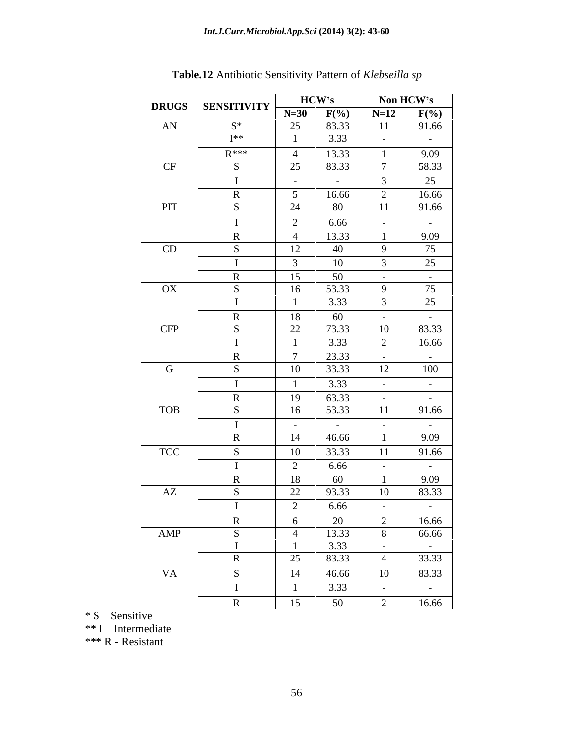|                        | <b>DRUGS</b>   <b>SENSITIVITY</b> | HCW's                                                                                                                                                                                                                                                                       | Non HCW's                 |
|------------------------|-----------------------------------|-----------------------------------------------------------------------------------------------------------------------------------------------------------------------------------------------------------------------------------------------------------------------------|---------------------------|
|                        |                                   |                                                                                                                                                                                                                                                                             |                           |
| <b>AN</b>              | $S^*$                             | $N=30$ $F(\%)$ $N=12$ $F(\%)$<br>25 83.33 11 91.66                                                                                                                                                                                                                          |                           |
|                        | T**                               | 3.33<br>$\sim 100$ m $^{-1}$                                                                                                                                                                                                                                                | $\sim 100$ m $^{-1}$      |
|                        | $R***$                            |                                                                                                                                                                                                                                                                             |                           |
|                        |                                   | 4 13.33                                                                                                                                                                                                                                                                     | 9.09                      |
| CF                     |                                   | 25 83.33<br>the control of the control of the con-                                                                                                                                                                                                                          | 58.33                     |
|                        |                                   | $\sim 100$ m $^{-1}$<br>$\sim 100$ m $^{-1}$                                                                                                                                                                                                                                | 25                        |
|                        |                                   | 16.66<br>$\gamma$<br>$\sim$                                                                                                                                                                                                                                                 | 16.66                     |
| <b>PIT</b>             |                                   | 24<br>80<br>11                                                                                                                                                                                                                                                              | 91.66                     |
|                        |                                   | $\overline{2}$<br>$\Big  6.66$                                                                                                                                                                                                                                              |                           |
|                        |                                   | $\sim 100$                                                                                                                                                                                                                                                                  | $\sim 10^{-10}$ m $^{-1}$ |
|                        |                                   | 4   13.33                                                                                                                                                                                                                                                                   | 9.09                      |
| CD                     |                                   | 12<br>40<br>-9                                                                                                                                                                                                                                                              | $\frac{1}{75}$            |
|                        |                                   | 10<br>$\mathcal{R}$                                                                                                                                                                                                                                                         | 25                        |
|                        |                                   | 50<br>15  <br><b>Contract Contract</b>                                                                                                                                                                                                                                      | <b>Contract Contract</b>  |
| $\overline{\text{OX}}$ |                                   | 53.33<br>16  <br>-9                                                                                                                                                                                                                                                         | 75                        |
|                        |                                   | 3.33                                                                                                                                                                                                                                                                        | $\overline{25}$           |
|                        |                                   | 60<br>18<br>$\alpha$ , $\alpha$ , $\alpha$ , $\alpha$ , $\alpha$                                                                                                                                                                                                            | <b>Contract Contract</b>  |
| <b>CFP</b>             |                                   | 22  <br>73.33<br>10                                                                                                                                                                                                                                                         | 83.33                     |
|                        |                                   | 3.33<br>2                                                                                                                                                                                                                                                                   | 16.66                     |
|                        |                                   |                                                                                                                                                                                                                                                                             |                           |
|                        | R.                                | 23.33<br>$7 \quad \square$<br><b>Contractor</b>                                                                                                                                                                                                                             | $\sim 100$ m $^{-1}$      |
| $\mathbf G$            |                                   | 12<br>10 33.33                                                                                                                                                                                                                                                              | 100                       |
|                        |                                   | 3.33<br>$\sim 100$ m $^{-1}$                                                                                                                                                                                                                                                | <b>Contract Contract</b>  |
|                        |                                   | 19 63.33<br><b>Contract Contract</b>                                                                                                                                                                                                                                        | <b>Contract Contract</b>  |
| <b>TOB</b>             |                                   | 53.33<br>11<br>16                                                                                                                                                                                                                                                           | 91.66                     |
|                        |                                   |                                                                                                                                                                                                                                                                             |                           |
|                        |                                   | <b>Contractor</b><br>$\sim 100$ m $^{-1}$<br><b>Contract Contract</b>                                                                                                                                                                                                       | $\sim 100$ m $^{-1}$      |
|                        |                                   | 14 46.66                                                                                                                                                                                                                                                                    | 9.09                      |
| <b>TCC</b>             |                                   | 10 33.33<br>11                                                                                                                                                                                                                                                              | 91.66                     |
|                        |                                   | 6.66<br>$\sim 100$ m $^{-1}$                                                                                                                                                                                                                                                | $\sim$ 100 $\sim$         |
|                        |                                   | 60<br>18                                                                                                                                                                                                                                                                    | 9.09                      |
| AZ                     |                                   | 22<br>93.33<br>10                                                                                                                                                                                                                                                           | 83.33                     |
|                        |                                   | 6.66<br>$\sim$ $-$                                                                                                                                                                                                                                                          | $\sim 100$ m $^{-1}$      |
|                        |                                   |                                                                                                                                                                                                                                                                             |                           |
| AMP                    |                                   |                                                                                                                                                                                                                                                                             |                           |
|                        |                                   |                                                                                                                                                                                                                                                                             |                           |
|                        |                                   |                                                                                                                                                                                                                                                                             |                           |
|                        |                                   |                                                                                                                                                                                                                                                                             |                           |
|                        |                                   |                                                                                                                                                                                                                                                                             |                           |
| <b>VA</b>              |                                   |                                                                                                                                                                                                                                                                             |                           |
|                        |                                   | $\begin{tabular}{ c c c c c c } \hline & 6 & 20 & 2 & 16.66 \\ \hline 4 & 13.33 & 8 & 66.66 \\ \hline 1 & 3.33 & - & - \\ \hline 25 & 83.33 & 4 & 33.33 \\ \hline 14 & 46.66 & 10 & 83.33 \\ \hline 1 & 3.33 & - & - \\ \hline 15 & 50 & 2 & 16.66 \\ \hline \end{tabular}$ |                           |

**Table.12** Antibiotic Sensitivity Pattern of *Klebseilla sp*

 $\overline{\ }$  \* S – Sensitive

\*\* I - Intermediate

\*\*\* R - Resistant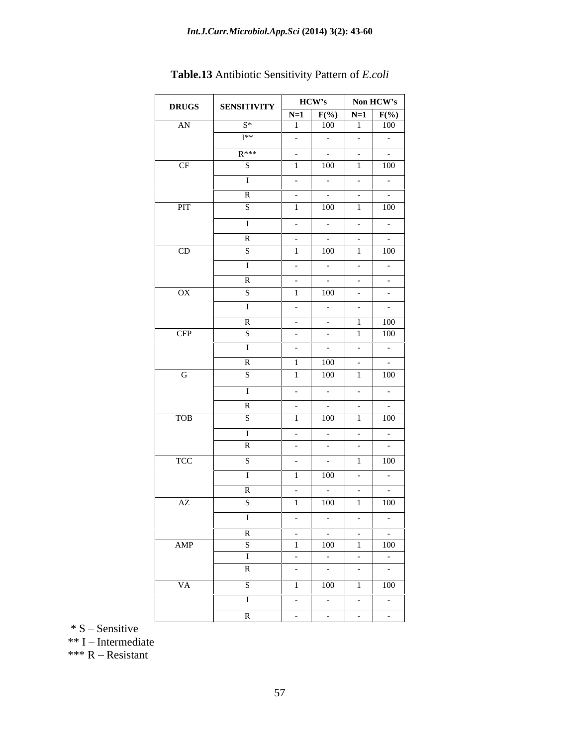| <b>DRUGS</b> SENSITIVITY HCW'S Non HCW'S AN $S^*$ 1 F(%) N=1 F(%) |                                              |                                    |                                                                                                                              |                                                                                                                                                                                                                                |                      |
|-------------------------------------------------------------------|----------------------------------------------|------------------------------------|------------------------------------------------------------------------------------------------------------------------------|--------------------------------------------------------------------------------------------------------------------------------------------------------------------------------------------------------------------------------|----------------------|
|                                                                   | the control of the control of the control of |                                    |                                                                                                                              |                                                                                                                                                                                                                                |                      |
|                                                                   | $I^{**}$                                     |                                    | the contract of the contract of the contract of the contract of the contract of the contract of the contract of              |                                                                                                                                                                                                                                |                      |
|                                                                   | $R***$                                       |                                    |                                                                                                                              |                                                                                                                                                                                                                                |                      |
| CF                                                                |                                              | $\blacksquare$                     | 100 1 100                                                                                                                    |                                                                                                                                                                                                                                |                      |
|                                                                   |                                              | $\sim$ $\sim$ $\sim$ $\sim$ $\sim$ | <u> La Carlo de la Carlo de la Carlo de la Carlo de la Carlo de la Carlo de la Carlo de la Carlo de la Carlo de l</u>        |                                                                                                                                                                                                                                |                      |
|                                                                   |                                              |                                    |                                                                                                                              | and the state of the state of the state of the state of the state of the state of the state of the state of the                                                                                                                |                      |
| <b>PIT</b>                                                        |                                              | _____                              |                                                                                                                              | $100 \t 1 \t 100$                                                                                                                                                                                                              |                      |
|                                                                   |                                              |                                    |                                                                                                                              |                                                                                                                                                                                                                                |                      |
|                                                                   |                                              |                                    |                                                                                                                              | the control of the control of the con-                                                                                                                                                                                         |                      |
|                                                                   |                                              |                                    |                                                                                                                              |                                                                                                                                                                                                                                |                      |
| CD                                                                | $\sim$ S $\sim$                              |                                    | $1 \t 100 \t 1 \t 100$                                                                                                       |                                                                                                                                                                                                                                |                      |
|                                                                   | $\blacksquare$                               |                                    |                                                                                                                              |                                                                                                                                                                                                                                |                      |
|                                                                   | $\mathbb{R}$                                 |                                    |                                                                                                                              |                                                                                                                                                                                                                                |                      |
| OX                                                                | $-S$                                         |                                    |                                                                                                                              | $100$ - -                                                                                                                                                                                                                      |                      |
|                                                                   |                                              | $\sim 100$                         |                                                                                                                              | $\sim$ - $\sim$ $\sim$ $\sim$ $\sim$ $\sim$                                                                                                                                                                                    |                      |
|                                                                   |                                              |                                    | $  1$ $100$                                                                                                                  |                                                                                                                                                                                                                                |                      |
| CFP                                                               | $-S$                                         | $\sim$ $-$                         |                                                                                                                              | $-1$ 1 100                                                                                                                                                                                                                     |                      |
|                                                                   |                                              | $  -$                              |                                                                                                                              | and the second control of the second control of the second control of the second control of the second control of the second control of the second control of the second control of the second control of the second control o |                      |
|                                                                   |                                              |                                    |                                                                                                                              |                                                                                                                                                                                                                                |                      |
|                                                                   |                                              |                                    | $\begin{array}{ c c c c c c c c } \hline \end{array}$ 100 $\begin{array}{ c c c c c c c } \hline \end{array}$<br>$100$ 1 100 |                                                                                                                                                                                                                                |                      |
| $\mathbf{G}$                                                      | - S - S                                      | $\blacksquare$                     |                                                                                                                              |                                                                                                                                                                                                                                |                      |
|                                                                   |                                              | $\sim$ $-$                         |                                                                                                                              | .                                                                                                                                                                                                                              |                      |
|                                                                   | <b>R</b>                                     | $\sim$ $-$                         |                                                                                                                              |                                                                                                                                                                                                                                |                      |
| <b>TOB</b>                                                        | - S - 1                                      |                                    |                                                                                                                              | $100$ 1 100                                                                                                                                                                                                                    |                      |
|                                                                   |                                              |                                    |                                                                                                                              |                                                                                                                                                                                                                                |                      |
|                                                                   | R –                                          |                                    |                                                                                                                              | and the contract of the contract of the contract of the contract of the contract of the contract of the contract of the contract of the contract of the contract of the contract of the contract of the contract of the contra |                      |
| TCC                                                               |                                              |                                    | $  1$ $100$                                                                                                                  |                                                                                                                                                                                                                                |                      |
|                                                                   |                                              |                                    |                                                                                                                              |                                                                                                                                                                                                                                |                      |
|                                                                   |                                              |                                    | 100                                                                                                                          | $\sim$ $\sim$ $\sim$ $\sim$ $\sim$ $\sim$<br><u> The Common Section of the Common Section of the Common Section of the Common Section of the Common Section of</u>                                                             |                      |
|                                                                   | K –                                          |                                    |                                                                                                                              | and the second control of the second                                                                                                                                                                                           |                      |
| AZ                                                                | S                                            | $\blacksquare$                     | $100$ 1 100                                                                                                                  |                                                                                                                                                                                                                                |                      |
|                                                                   |                                              |                                    |                                                                                                                              | $-1$                                                                                                                                                                                                                           | $\sim$ $ \sim$       |
|                                                                   | R                                            |                                    |                                                                                                                              |                                                                                                                                                                                                                                |                      |
| AMP                                                               | $\sim$ $\sim$                                |                                    | 1 100 1 100                                                                                                                  |                                                                                                                                                                                                                                |                      |
|                                                                   |                                              |                                    |                                                                                                                              |                                                                                                                                                                                                                                |                      |
|                                                                   |                                              |                                    | and the state of the                                                                                                         | the contract of the contract of                                                                                                                                                                                                |                      |
| <b>VA</b>                                                         |                                              | $\blacksquare$                     |                                                                                                                              | $\begin{array}{c c} \hline 100 & 1 & 100 \end{array}$                                                                                                                                                                          |                      |
|                                                                   | $S$ and $S$                                  |                                    |                                                                                                                              |                                                                                                                                                                                                                                |                      |
|                                                                   |                                              |                                    | <b>Contract Contract</b>                                                                                                     | <b>Contract Contract</b>                                                                                                                                                                                                       | $\sim 100$ m $^{-1}$ |
|                                                                   |                                              |                                    |                                                                                                                              |                                                                                                                                                                                                                                | $\sim 100$           |

**Table.13** Antibiotic Sensitivity Pattern of *E.coli*

 $* S -$ Sensitive

 $**$  I – Intermediate

\*\*\*  $R$  – Resistant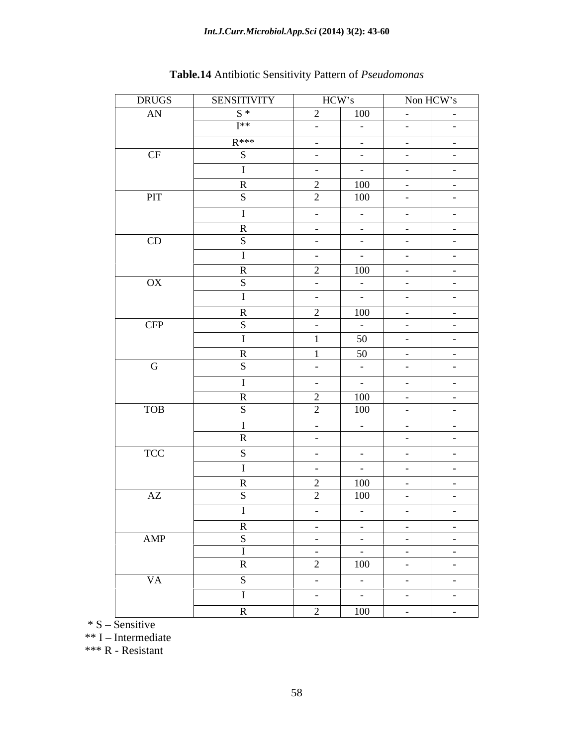| <b>DRUGS</b> | SENSITIVITY   | HCW's                                                                                                                            | Non HCW's                                                                                                                                                                                                                                                                                                                                                                                                                                                   |
|--------------|---------------|----------------------------------------------------------------------------------------------------------------------------------|-------------------------------------------------------------------------------------------------------------------------------------------------------------------------------------------------------------------------------------------------------------------------------------------------------------------------------------------------------------------------------------------------------------------------------------------------------------|
| AN           | $S^*$         | 100<br>$\gamma$                                                                                                                  | $\alpha$ , $\alpha$ , $\alpha$ , $\alpha$ , $\alpha$<br>$\sim 100$ m $^{-1}$                                                                                                                                                                                                                                                                                                                                                                                |
|              | $I^{**}$      | $\sim 100$ m $^{-1}$<br>$\alpha_{\rm{max}}=0.01$                                                                                 | <b>Contract Contract</b><br><b>Contract Contract</b>                                                                                                                                                                                                                                                                                                                                                                                                        |
|              | $R***$        | $\alpha$ , and $\alpha$ , and $\alpha$<br>$\sim$ 100 $-$ 100 $\pm$                                                               | $\alpha$ , $\alpha$ , $\alpha$ , $\alpha$ , $\alpha$<br><b>Contract Contract</b>                                                                                                                                                                                                                                                                                                                                                                            |
| CF           | - S           | $\sim 1000$ m $^{-1}$<br>$\sim 100$ m $^{-1}$                                                                                    | $\sim 100$ m $^{-1}$<br>$\sim$ $-$                                                                                                                                                                                                                                                                                                                                                                                                                          |
|              |               | $\sim 1000$ m $^{-1}$<br>$\sim 100$ m $^{-1}$                                                                                    | $\sim 100$ m $^{-1}$<br>$\sim 100$ m $^{-1}$                                                                                                                                                                                                                                                                                                                                                                                                                |
|              |               | 100                                                                                                                              | $\sim 100$ m $^{-1}$<br>$\sim 10^{-10}$                                                                                                                                                                                                                                                                                                                                                                                                                     |
| PIT          |               | 100                                                                                                                              | $\sim$ $ \sim$<br>$\sim$ 100 $\sim$                                                                                                                                                                                                                                                                                                                                                                                                                         |
|              |               | $\sim 100$ m $^{-1}$<br>$\sim 100$ m $^{-1}$                                                                                     | $\sim 100$ m $^{-1}$<br>$\sim 100$ m $^{-1}$                                                                                                                                                                                                                                                                                                                                                                                                                |
|              |               | $\alpha$ , $\alpha$ , $\alpha$ , $\alpha$ , $\alpha$<br><b>Contract Contract</b>                                                 | $\sim 1000$ m $^{-1}$<br>$\sim 100$ m $^{-1}$                                                                                                                                                                                                                                                                                                                                                                                                               |
| CD           |               | $\alpha_{\rm{max}}=0.01$<br>$\mathcal{L}_{\rm{max}}$ and $\mathcal{L}_{\rm{max}}$                                                | $\sim 100$ km s $^{-1}$<br>$\sim 100$ m $^{-1}$                                                                                                                                                                                                                                                                                                                                                                                                             |
|              |               | $\sim 1000$ m $^{-1}$<br>$\sim 100$ m $^{-1}$                                                                                    | $\sim 100$ m $^{-1}$<br>$\sim$                                                                                                                                                                                                                                                                                                                                                                                                                              |
|              | $\mathbf R$   | 100<br>2                                                                                                                         | $\sim 1000$ m $^{-1}$<br>$\sim 100$ m $^{-1}$                                                                                                                                                                                                                                                                                                                                                                                                               |
| OX           |               | $\sim 1000$ m $^{-1}$<br>$\sim 100$ m $^{-1}$                                                                                    | $\sim 100$ km s $^{-1}$<br>$\sim 100$ km s $^{-1}$                                                                                                                                                                                                                                                                                                                                                                                                          |
|              |               | $\sim 1000$ m $^{-1}$<br>$\mathcal{L}_{\rm{max}}$ and $\mathcal{L}_{\rm{max}}$                                                   | $\sim 1000$ m $^{-1}$<br>$\sim 100$ m $^{-1}$                                                                                                                                                                                                                                                                                                                                                                                                               |
|              |               | 100                                                                                                                              | $\sim 1000$ m $^{-1}$<br>$\sim 100$ m $^{-1}$                                                                                                                                                                                                                                                                                                                                                                                                               |
| <b>CFP</b>   |               | $\sim 100$ m $^{-1}$<br>$\sim 100$ m $^{-1}$                                                                                     | $\sim 10^{-10}$<br>$\sim$ $ \sim$                                                                                                                                                                                                                                                                                                                                                                                                                           |
|              |               | 50                                                                                                                               | $\sim 100$ m $^{-1}$<br>$\sim$ $ \sim$                                                                                                                                                                                                                                                                                                                                                                                                                      |
|              |               | 50                                                                                                                               | $\sim 100$ m $^{-1}$<br>$\sim$                                                                                                                                                                                                                                                                                                                                                                                                                              |
| G            |               | $\sim 100$ m $^{-1}$<br>$\sim 100$ m $^{-1}$                                                                                     | $\sim$ 100 $\sim$<br>$\sim 100$ m $^{-1}$                                                                                                                                                                                                                                                                                                                                                                                                                   |
|              |               | $\sim 1000$ m $^{-1}$<br>$\sim 100$ m $^{-1}$                                                                                    | $\sim 100$ m $^{-1}$<br>$\sim$ $-$                                                                                                                                                                                                                                                                                                                                                                                                                          |
|              | $\mathbf{R}$  | 100<br>2                                                                                                                         | $\sim 1000$ m $^{-1}$                                                                                                                                                                                                                                                                                                                                                                                                                                       |
| <b>TOB</b>   | - S           | 100<br>$\bigcap$                                                                                                                 | $\sim$ $-$<br>$\sim 10^{-10}$ m $^{-1}$<br>$\sim 100$ m $^{-1}$                                                                                                                                                                                                                                                                                                                                                                                             |
|              |               | $\overline{a}$                                                                                                                   |                                                                                                                                                                                                                                                                                                                                                                                                                                                             |
|              |               | $\sim 1000$ m $^{-1}$<br>$\sim 1000$ m $^{-1}$<br>$\alpha$ , $\alpha$ , $\alpha$ , $\alpha$ , $\alpha$                           | $\alpha$ , $\alpha$ , $\alpha$ , $\alpha$ , $\alpha$<br><b>Contract Contract</b><br>$\sim 10^{-10}$<br>$\sim 100$ m $^{-1}$                                                                                                                                                                                                                                                                                                                                 |
|              |               |                                                                                                                                  |                                                                                                                                                                                                                                                                                                                                                                                                                                                             |
| <b>TCC</b>   |               | $\sim 1000$ m $^{-1}$<br>$\sim$ 100 $-$ 100 $\pm$                                                                                | $\sim 100$ km s $^{-1}$<br>$\sim 100$ m $^{-1}$                                                                                                                                                                                                                                                                                                                                                                                                             |
|              |               | $\sim 1000$ m $^{-1}$<br>$\sim 100$ m $^{-1}$                                                                                    | $\sim 10^{-10}$<br>$\sim$ $ \sim$                                                                                                                                                                                                                                                                                                                                                                                                                           |
|              |               | 100<br>100                                                                                                                       | <b>Contract Contract</b><br><b>Contract Contract</b>                                                                                                                                                                                                                                                                                                                                                                                                        |
| AZ           |               |                                                                                                                                  | $\sim 10^{-10}$                                                                                                                                                                                                                                                                                                                                                                                                                                             |
|              |               | $\sim 100$ m $^{-1}$<br>$\sim 100$ m $^{-1}$                                                                                     | $\sim 10^{-10}$<br>$\sim$ $-$                                                                                                                                                                                                                                                                                                                                                                                                                               |
|              | D             | $\sim 1000$ m $^{-1}$<br><b>Contractor</b>                                                                                       | <b>Contract Contract</b><br><b>Contract Contract</b>                                                                                                                                                                                                                                                                                                                                                                                                        |
| AMP          | $\mathcal{S}$ | $\sim 1000$ m $^{-1}$<br><b>Contract Contract</b>                                                                                | $\frac{1}{\sqrt{1-\frac{1}{2}}}\frac{1}{\sqrt{1-\frac{1}{2}}}\frac{1}{\sqrt{1-\frac{1}{2}}}\frac{1}{\sqrt{1-\frac{1}{2}}}\frac{1}{\sqrt{1-\frac{1}{2}}}\frac{1}{\sqrt{1-\frac{1}{2}}}\frac{1}{\sqrt{1-\frac{1}{2}}}\frac{1}{\sqrt{1-\frac{1}{2}}}\frac{1}{\sqrt{1-\frac{1}{2}}}\frac{1}{\sqrt{1-\frac{1}{2}}}\frac{1}{\sqrt{1-\frac{1}{2}}}\frac{1}{\sqrt{1-\frac{1}{2}}}\frac{1}{\sqrt{1-\frac{1}{2}}}\frac{1}{\sqrt{1-\frac{$<br><b>Contract Contract</b> |
|              |               | $\alpha$ , $\alpha$ , $\alpha$ , $\alpha$ , $\alpha$<br>$\alpha$ , $\alpha$ , $\alpha$ , $\alpha$ , $\alpha$<br>$\overline{100}$ | $\alpha$ , $\alpha$ , $\alpha$ , $\alpha$ , $\alpha$<br>$\sim 100$ m $^{-1}$                                                                                                                                                                                                                                                                                                                                                                                |
|              | $\mathbf R$   | $\overline{2}$                                                                                                                   | $\alpha$ , $\alpha$ , $\alpha$ , $\alpha$ , $\alpha$<br>$\alpha$ , $\alpha$ , $\alpha$ , $\alpha$ , $\alpha$                                                                                                                                                                                                                                                                                                                                                |
| <b>VA</b>    | S             | $\alpha$ , $\alpha$ , $\alpha$ , $\alpha$ , $\alpha$<br>$\alpha$ , $\alpha$ , $\alpha$ , $\alpha$ , $\alpha$                     | $\alpha$ , $\alpha$ , $\alpha$ , $\alpha$ , $\alpha$<br>$\sim 100$ m $^{-1}$                                                                                                                                                                                                                                                                                                                                                                                |
|              | <b>T</b>      | $\alpha$ , $\alpha$ , $\alpha$ , $\alpha$ , $\alpha$<br>$\alpha$ , $\alpha$ , $\alpha$ , $\alpha$ , $\alpha$                     | $\sim 100$ km s $^{-1}$<br>$\sim 100$ km s $^{-1}$                                                                                                                                                                                                                                                                                                                                                                                                          |
|              | $\mathbf{D}$  | 100<br>$\gamma$                                                                                                                  | $\mathcal{L}^{\mathcal{L}}$ and $\mathcal{L}^{\mathcal{L}}$<br>$\sim 100$ m $^{-1}$                                                                                                                                                                                                                                                                                                                                                                         |

# **Table.14** Antibiotic Sensitivity Pattern of *Pseudomonas*

 $\overline{\ }$  S – Sensitive

\*\* I - Intermediate

\*\*\* R - Resistant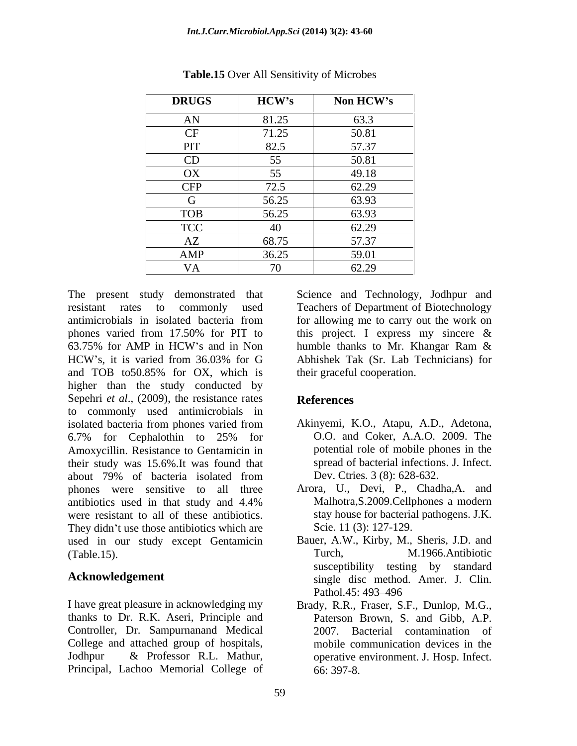| <b>DRUGS</b> | HCW's                      | Non HCW's |
|--------------|----------------------------|-----------|
| AN           | 81.25                      | 63.3      |
| $\Gamma$     | 71.25                      | 50.81     |
| PIT          | 82.5                       | 57.37     |
| CD           | 55<br>$\ddot{\phantom{0}}$ | 50.81     |
| OX           | 55                         | 49.18     |
| <b>CFP</b>   | 72.5                       | 62.29     |
|              | 56.25                      | 63.93     |
| <b>TOB</b>   | 56.25                      | 63.93     |
| <b>TCC</b>   | - 40                       | 62.29     |
| AZ           | 68.75                      | 57.37     |
| AMP          | 36.25                      | 59.01     |
|              | $70^{\circ}$               | 62.29     |

**Table.15** Over All Sensitivity of Microbes

The present study demonstrated that Science and Technology, Jodhpur and resistant rates to commonly used Teachers of Department of Biotechnology antimicrobials in isolated bacteria from for allowing me to carry out the work on phones varied from 17.50% for PIT to this project. I express my sincere  $\&$ 63.75% for AMP in HCW's and in Non humble thanks to Mr. Khangar Ram  $\&$ HCW's, it is varied from 36.03% for G Abhishek Tak (Sr. Lab Technicians) for and TOB to50.85% for OX, which is higher than the study conducted by Sepehri *et al.*, (2009), the resistance rates References to commonly used antimicrobials in isolated bacteria from phones varied from Akinyemi, K.O., Atapu, A.D., Adetona, 6.7% for Cephalothin to 25% for Amoxycillin. Resistance to Gentamicin in their study was 15.6%.It was found that about 79% of bacteria isolated from Dev. Ctries. 3 (8): 628-632. phones were sensitive to all three antibiotics used in that study and 4.4% were resistant to all of these antibiotics. They didn't use those antibiotics which are used in our study except Gentamicin (Table.15). Turch, M.1966.Antibiotic

I have great pleasure in acknowledging my Brady, R.R., Fraser, S.F., Dunlop, M.G., thanks to Dr. R.K. Aseri, Principle and Controller, Dr. Sampurnanand Medical College and attached group of hospitals, Jodhpur & Professor R.L. Mathur, operative environment. J. Hosp. Infect. Principal, Lachoo Memorial College of

this project. I express my sincere & humble thanks to Mr. Khangar Ram & Abhishek Tak (Sr. Lab Technicians) for their graceful cooperation.

# **References**

- Akinyemi, K.O., Atapu, A.D., Adetona, O.O. and Coker, A.A.O. 2009. The potential role of mobile phones in the spread of bacterial infections. J. Infect. Dev. Ctries. 3 (8): 628-632.
- Arora, U., Devi, P., Chadha,A. and Malhotra,S.2009.Cellphones a modern stay house for bacterial pathogens. J.K. Scie. 11 (3): 127-129.
- Acknowledgement single disc method. Amer. J. Clin. Bauer, A.W., Kirby, M., Sheris, J.D. and Turch, M.1966.Antibiotic susceptibility testing by standard Pathol.45: 493–496
	- Paterson Brown, S. and Gibb, A.P. 2007. Bacterial contamination of mobile communication devices in the 66: 397-8.